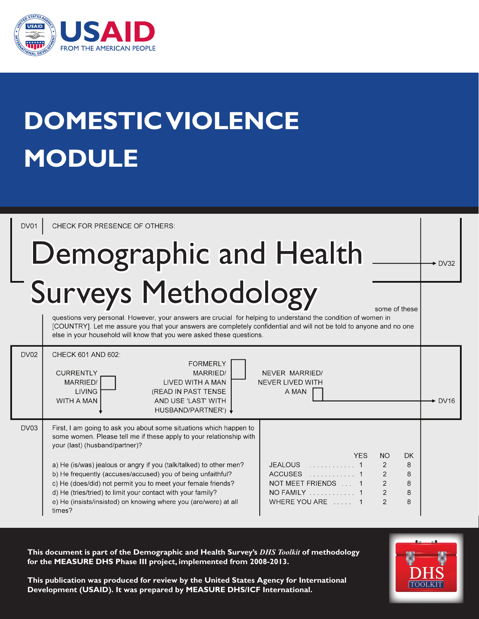

# **domestic violence module**

| DV01        | CHECK FOR PRESENCE OF OTHERS:                                                                                                                                                                                                                                                                                   |                                                      |                                                                   |                            |
|-------------|-----------------------------------------------------------------------------------------------------------------------------------------------------------------------------------------------------------------------------------------------------------------------------------------------------------------|------------------------------------------------------|-------------------------------------------------------------------|----------------------------|
|             | Demographic and Health                                                                                                                                                                                                                                                                                          |                                                      |                                                                   | $\blacktriangleright$ DV32 |
|             | <b>Surveys Methodology</b>                                                                                                                                                                                                                                                                                      |                                                      | some of these                                                     |                            |
|             | questions very personal. However, your answers are crucial for helping to understand the condition of women in<br>[COUNTRY]. Let me assure you that your answers are completely confidential and will not be told to anyone and no one<br>else in your household will know that you were asked these questions. |                                                      |                                                                   |                            |
| <b>DV02</b> | CHECK 601 AND 602:<br><b>FORMERLY</b><br><b>CURRENTLY</b><br>MARRIED/<br>MARRIED/<br>LIVED WITH A MAN<br><b>LIVING</b><br>(READ IN PAST TENSE<br><b>WITH A MAN</b><br>AND USE 'LAST' WITH<br>HUSBAND/PARTNER')                                                                                                  | NEVER MARRIED/<br><b>NEVER LIVED WITH</b><br>A MAN   |                                                                   | $\blacktriangleright$ DV16 |
| DV03        | First, I am going to ask you about some situations which happen to<br>some women. Please tell me if these apply to your relationship with<br>your (last) (husband/partner)?<br>a) He (is/was) jealous or angry if you (talk/talked) to other men?                                                               | <b>YFS</b><br><b>NO</b><br>JEALOUS<br>ACCUSES        | DK<br>$\overline{2}$<br>8<br>2<br>8                               |                            |
|             | b) He frequently (accuses/accused) you of being unfaithful?<br>c) He (does/did) not permit you to meet your female friends?<br>d) He (tries/tried) to limit your contact with your family?<br>e) He (insists/insisted) on knowing where you (are/were) at all<br>times?                                         | NOT MEET FRIENDS  1<br>NO FAMILY  1<br>WHERE YOU ARE | $\overline{2}$<br>8<br>$\overline{2}$<br>8<br>$\overline{2}$<br>8 |                            |

**This document is part of the Demographic and Health Survey's** *DHS Toolkit* **of methodology for the MEASURE DHS Phase III project, implemented from 2008-2013.**

**This publication was produced for review by the United States Agency for International Development (USAID). It was prepared by MEASURE DHS/ICF International.**

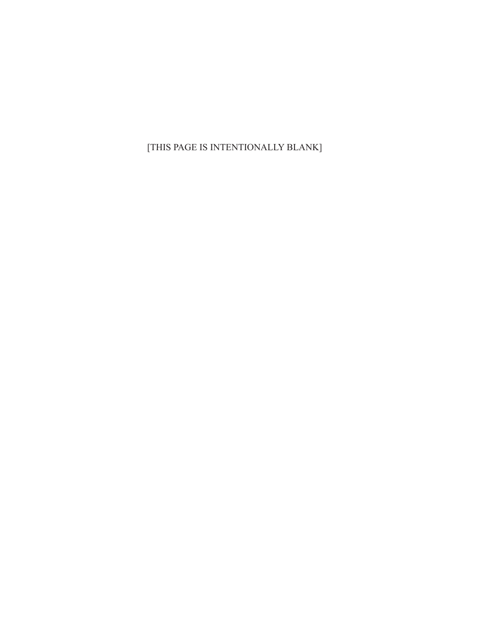[THIS PAGE IS INTENTIONALLY BLANK]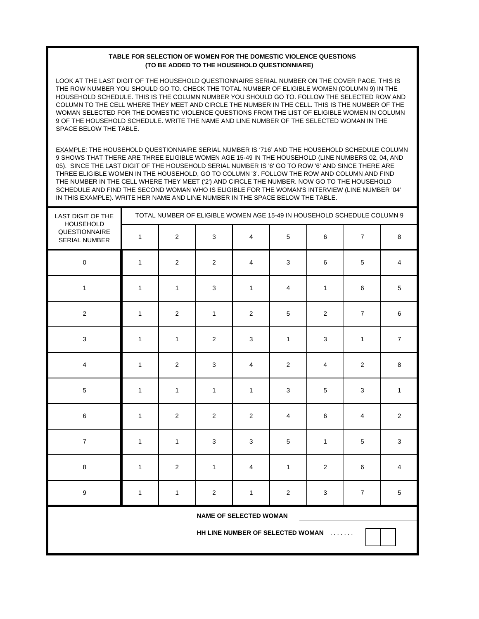#### **TABLE FOR SELECTION OF WOMEN FOR THE DOMESTIC VIOLENCE QUESTIONS (TO BE ADDED TO THE HOUSEHOLD QUESTIONNIARE)**

LOOK AT THE LAST DIGIT OF THE HOUSEHOLD QUESTIONNAIRE SERIAL NUMBER ON THE COVER PAGE. THIS IS THE ROW NUMBER YOU SHOULD GO TO. CHECK THE TOTAL NUMBER OF ELIGIBLE WOMEN (COLUMN 9) IN THE HOUSEHOLD SCHEDULE. THIS IS THE COLUMN NUMBER YOU SHOULD GO TO. FOLLOW THE SELECTED ROW AND COLUMN TO THE CELL WHERE THEY MEET AND CIRCLE THE NUMBER IN THE CELL. THIS IS THE NUMBER OF THE WOMAN SELECTED FOR THE DOMESTIC VIOLENCE QUESTIONS FROM THE LIST OF ELIGIBLE WOMEN IN COLUMN 9 OF THE HOUSEHOLD SCHEDULE. WRITE THE NAME AND LINE NUMBER OF THE SELECTED WOMAN IN THE SPACE BELOW THE TABLE.

EXAMPLE: THE HOUSEHOLD QUESTIONNAIRE SERIAL NUMBER IS '716' AND THE HOUSEHOLD SCHEDULE COLUMN 9 SHOWS THAT THERE ARE THREE ELIGIBLE WOMEN AGE 15-49 IN THE HOUSEHOLD (LINE NUMBERS 02, 04, AND 05). SINCE THE LAST DIGIT OF THE HOUSEHOLD SERIAL NUMBER IS '6' GO TO ROW '6' AND SINCE THERE ARE THREE ELIGIBLE WOMEN IN THE HOUSEHOLD, GO TO COLUMN '3'. FOLLOW THE ROW AND COLUMN AND FIND THE NUMBER IN THE CELL WHERE THEY MEET ('2') AND CIRCLE THE NUMBER. NOW GO TO THE HOUSEHOLD SCHEDULE AND FIND THE SECOND WOMAN WHO IS ELIGIBLE FOR THE WOMAN'S INTERVIEW (LINE NUMBER '04' IN THIS EXAMPLE). WRITE HER NAME AND LINE NUMBER IN THE SPACE BELOW THE TABLE.

| LAST DIGIT OF THE<br><b>HOUSEHOLD</b> | TOTAL NUMBER OF ELIGIBLE WOMEN AGE 15-49 IN HOUSEHOLD SCHEDULE COLUMN 9 |              |              |                |                |                         |                |                         |  |
|---------------------------------------|-------------------------------------------------------------------------|--------------|--------------|----------------|----------------|-------------------------|----------------|-------------------------|--|
| QUESTIONNAIRE<br>SERIAL NUMBER        | $\mathbf{1}$                                                            | $\sqrt{2}$   | 3            | 4              | $\sqrt{5}$     | 6                       | $\overline{7}$ | $\bf 8$                 |  |
| $\mathsf 0$                           | $\mathbf{1}$                                                            | $\sqrt{2}$   | $\mathbf 2$  | 4              | 3              | 6                       | 5              | $\overline{4}$          |  |
| $\mathbf{1}$                          | $\mathbf{1}$                                                            | $\mathbf{1}$ | 3            | $\mathbf{1}$   | 4              | $\mathbf{1}$            | 6              | $\sqrt{5}$              |  |
| $\sqrt{2}$                            | $\mathbf{1}$                                                            | $\mathbf{2}$ | $\mathbf{1}$ | $\overline{c}$ | $\,$ 5 $\,$    | $\overline{c}$          | $\overline{7}$ | 6                       |  |
| $\mathbf{3}$                          | $\mathbf{1}$                                                            | $\mathbf{1}$ | $\mathbf 2$  | $\sqrt{3}$     | $\mathbf{1}$   | $\sqrt{3}$              | $\mathbf{1}$   | $\boldsymbol{7}$        |  |
| $\overline{\mathbf{4}}$               | $\mathbf{1}$                                                            | $\sqrt{2}$   | $\mathbf{3}$ | 4              | $\overline{2}$ | $\overline{\mathbf{4}}$ | $\overline{2}$ | 8                       |  |
| $\sqrt{5}$                            | $\mathbf{1}$                                                            | $\mathbf{1}$ | $\mathbf{1}$ | $\mathbf{1}$   | 3              | $\,$ 5 $\,$             | 3              | $\mathbf{1}$            |  |
| $\,6$                                 | $\mathbf{1}$                                                            | $\mathbf 2$  | $\mathbf 2$  | $\overline{c}$ | $\overline{4}$ | $\,6$                   | $\overline{4}$ | $\overline{c}$          |  |
| $\overline{7}$                        | $\mathbf{1}$                                                            | $\mathbf{1}$ | 3            | 3              | 5              | $\mathbf{1}$            | 5              | 3                       |  |
| $\bf 8$                               | $\mathbf{1}$                                                            | $\sqrt{2}$   | $\mathbf{1}$ | 4              | $\mathbf{1}$   | $\overline{c}$          | $\,6\,$        | $\overline{\mathbf{4}}$ |  |
| $\mathsf g$                           | $\mathbf{1}$                                                            | $\mathbf{1}$ | $\mathbf 2$  | $\mathbf{1}$   | $\overline{2}$ | $\sqrt{3}$              | $\overline{7}$ | 5                       |  |
| <b>NAME OF SELECTED WOMAN</b>         |                                                                         |              |              |                |                |                         |                |                         |  |
| HH LINE NUMBER OF SELECTED WOMAN<br>. |                                                                         |              |              |                |                |                         |                |                         |  |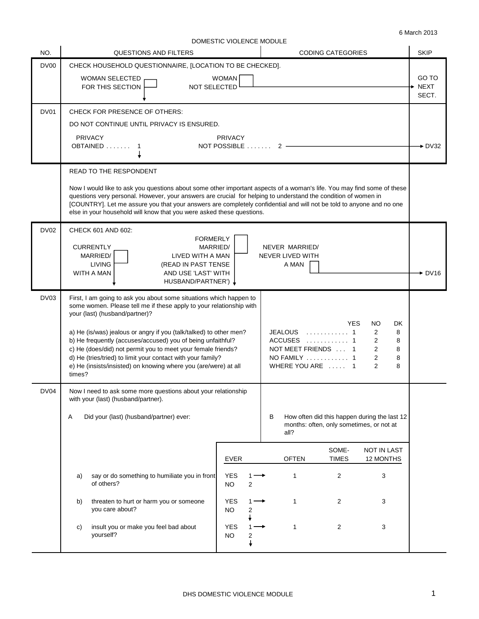6 March 2013

DOMESTIC VIOLENCE MODULE

| NO.              | <b>CODING CATEGORIES</b><br>QUESTIONS AND FILTERS                                                                                                                                                                                                                                                                                                                                                                                                                                                                                                                                                                                                                                                                     | <b>SKIP</b>                   |  |  |  |
|------------------|-----------------------------------------------------------------------------------------------------------------------------------------------------------------------------------------------------------------------------------------------------------------------------------------------------------------------------------------------------------------------------------------------------------------------------------------------------------------------------------------------------------------------------------------------------------------------------------------------------------------------------------------------------------------------------------------------------------------------|-------------------------------|--|--|--|
| <b>DV00</b>      | CHECK HOUSEHOLD QUESTIONNAIRE, [LOCATION TO BE CHECKED].<br><b>WOMAN</b><br><b>WOMAN SELECTED</b><br>NOT SELECTED<br>FOR THIS SECTION                                                                                                                                                                                                                                                                                                                                                                                                                                                                                                                                                                                 | GO TO<br><b>NEXT</b><br>SECT. |  |  |  |
| DV01             | CHECK FOR PRESENCE OF OTHERS:<br>DO NOT CONTINUE UNTIL PRIVACY IS ENSURED.<br><b>PRIVACY</b><br><b>PRIVACY</b><br>NOT POSSIBLE<br>OBTAINED<br>2<br>$\mathbf 1$                                                                                                                                                                                                                                                                                                                                                                                                                                                                                                                                                        | $\div$ DV32                   |  |  |  |
|                  | <b>READ TO THE RESPONDENT</b><br>Now I would like to ask you questions about some other important aspects of a woman's life. You may find some of these<br>questions very personal. However, your answers are crucial for helping to understand the condition of women in<br>[COUNTRY]. Let me assure you that your answers are completely confidential and will not be told to anyone and no one<br>else in your household will know that you were asked these questions.                                                                                                                                                                                                                                            |                               |  |  |  |
| <b>DV02</b>      | CHECK 601 AND 602:<br><b>FORMERLY</b><br><b>CURRENTLY</b><br>MARRIED/<br>NEVER MARRIED/<br>MARRIED/<br>LIVED WITH A MAN<br>NEVER LIVED WITH<br><b>LIVING</b><br>(READ IN PAST TENSE<br>A MAN<br>WITH A MAN<br>AND USE 'LAST' WITH<br>HUSBAND/PARTNER')                                                                                                                                                                                                                                                                                                                                                                                                                                                                | $\blacktriangleright$ DV16    |  |  |  |
| DV <sub>03</sub> | First, I am going to ask you about some situations which happen to<br>some women. Please tell me if these apply to your relationship with<br>your (last) (husband/partner)?<br><b>YES</b><br>NO<br>DK<br>JEALOUS  1<br>a) He (is/was) jealous or angry if you (talk/talked) to other men?<br>2<br>8<br>b) He frequently (accuses/accused) you of being unfaithful?<br>2<br>ACCUSES  1<br>8<br>c) He (does/did) not permit you to meet your female friends?<br>NOT MEET FRIENDS  1<br>2<br>8<br>d) He (tries/tried) to limit your contact with your family?<br>2<br>NO FAMILY $\ldots \ldots \ldots$ 1<br>8<br>e) He (insists/insisted) on knowing where you (are/were) at all<br>2<br>WHERE YOU ARE  1<br>8<br>times? |                               |  |  |  |
| DV04             | Now I need to ask some more questions about your relationship<br>with your (last) (husband/partner).<br>Did your (last) (husband/partner) ever:<br>How often did this happen during the last 12<br>B<br>Α<br>months: often, only sometimes, or not at<br>all?                                                                                                                                                                                                                                                                                                                                                                                                                                                         |                               |  |  |  |
|                  | SOME-<br>NOT IN LAST<br><b>TIMES</b><br><b>EVER</b><br><b>OFTEN</b><br>12 MONTHS<br><b>YES</b><br>$\overline{2}$<br>3<br>say or do something to humiliate you in front<br>1<br>a)<br>1.                                                                                                                                                                                                                                                                                                                                                                                                                                                                                                                               |                               |  |  |  |
|                  | of others?<br><b>NO</b><br>2<br>$\overline{2}$<br>YES<br>$\mathbf{1}$<br>3<br>threaten to hurt or harm you or someone<br>b)<br>1<br>you care about?<br>NO.<br>2                                                                                                                                                                                                                                                                                                                                                                                                                                                                                                                                                       |                               |  |  |  |
|                  | <b>YES</b><br>$\overline{2}$<br>insult you or make you feel bad about<br>$\mathbf{1}$<br>3<br>C)<br>yourself?<br><b>NO</b><br>2                                                                                                                                                                                                                                                                                                                                                                                                                                                                                                                                                                                       |                               |  |  |  |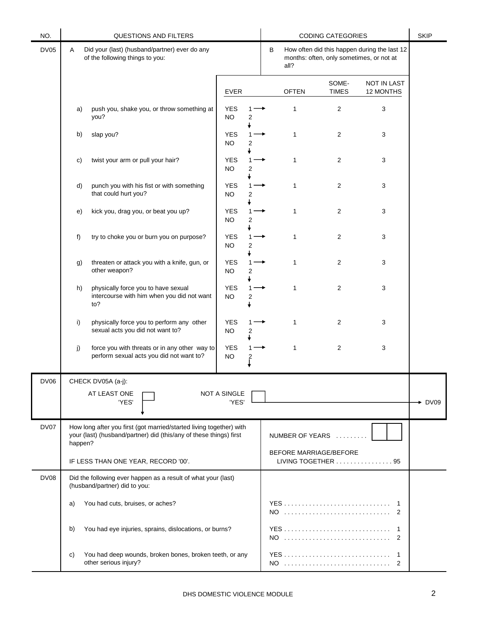| NO.              | QUESTIONS AND FILTERS                                                                 |                                                                                                                                           |                                                                                                       | <b>CODING CATEGORIES</b> | <b>SKIP</b>           |                                 |                            |
|------------------|---------------------------------------------------------------------------------------|-------------------------------------------------------------------------------------------------------------------------------------------|-------------------------------------------------------------------------------------------------------|--------------------------|-----------------------|---------------------------------|----------------------------|
| <b>DV05</b>      | Did your (last) (husband/partner) ever do any<br>A<br>of the following things to you: |                                                                                                                                           | How often did this happen during the last 12<br>B<br>months: often, only sometimes, or not at<br>all? |                          |                       |                                 |                            |
|                  |                                                                                       |                                                                                                                                           | EVER                                                                                                  | <b>OFTEN</b>             | SOME-<br><b>TIMES</b> | <b>NOT IN LAST</b><br>12 MONTHS |                            |
|                  | a)                                                                                    | push you, shake you, or throw something at<br>you?                                                                                        | <b>YES</b><br><b>NO</b><br>2                                                                          | 1                        | $\overline{2}$        | 3                               |                            |
|                  | b)                                                                                    | slap you?                                                                                                                                 | <b>YES</b><br>1<br>NO.<br>2                                                                           | 1                        | $\overline{2}$        | 3                               |                            |
|                  | C)                                                                                    | twist your arm or pull your hair?                                                                                                         | <b>YES</b><br>1<br>NO.<br>2                                                                           | $\mathbf{1}$             | $\overline{2}$        | 3                               |                            |
|                  | d)                                                                                    | punch you with his fist or with something<br>that could hurt you?                                                                         | <b>YES</b><br>1<br><b>NO</b><br>2                                                                     | 1                        | $\overline{2}$        | 3                               |                            |
|                  | e)                                                                                    | kick you, drag you, or beat you up?                                                                                                       | <b>YES</b><br><b>NO</b><br>2                                                                          | 1                        | $\overline{2}$        | 3                               |                            |
|                  | f)                                                                                    | try to choke you or burn you on purpose?                                                                                                  | <b>YES</b><br>1<br><b>NO</b><br>2                                                                     | $\mathbf{1}$             | $\overline{2}$        | 3                               |                            |
|                  | g)                                                                                    | threaten or attack you with a knife, gun, or<br>other weapon?                                                                             | <b>YES</b><br>$1 -$<br><b>NO</b><br>2                                                                 | $\mathbf{1}$             | $\overline{2}$        | 3                               |                            |
|                  | h)                                                                                    | physically force you to have sexual<br>intercourse with him when you did not want<br>to?                                                  | <b>YES</b><br><b>NO</b><br>2                                                                          | $\mathbf{1}$             | $\overline{2}$        | 3                               |                            |
|                  | i)                                                                                    | physically force you to perform any other<br>sexual acts you did not want to?                                                             | <b>YES</b><br>1<br><b>NO</b><br>2                                                                     | 1                        | $\overline{2}$        | 3                               |                            |
|                  | j)                                                                                    | force you with threats or in any other way to<br>perform sexual acts you did not want to?                                                 | <b>YES</b><br><b>NO</b>                                                                               | $\mathbf{1}$             | $\overline{2}$        | 3                               |                            |
| DV <sub>06</sub> |                                                                                       | CHECK DV05A (a-j):                                                                                                                        |                                                                                                       |                          |                       |                                 |                            |
|                  |                                                                                       | AT LEAST ONE<br>'YES'                                                                                                                     | <b>NOT A SINGLE</b><br>'YES'                                                                          |                          |                       |                                 | $\blacktriangleright$ DV09 |
| DV07             | happen?                                                                               | How long after you first (got married/started living together) with<br>your (last) (husband/partner) did (this/any of these things) first |                                                                                                       | NUMBER OF YEARS          |                       |                                 |                            |
|                  |                                                                                       | IF LESS THAN ONE YEAR, RECORD '00'.                                                                                                       |                                                                                                       | BEFORE MARRIAGE/BEFORE   |                       | LIVING TOGETHER 95              |                            |
| <b>DV08</b>      |                                                                                       | Did the following ever happen as a result of what your (last)<br>(husband/partner) did to you:                                            |                                                                                                       |                          |                       |                                 |                            |
|                  | a)                                                                                    | You had cuts, bruises, or aches?                                                                                                          |                                                                                                       | NO                       |                       | 2                               |                            |
|                  | b)                                                                                    | You had eye injuries, sprains, dislocations, or burns?                                                                                    |                                                                                                       | NO                       |                       | -1<br>2                         |                            |
|                  | C)                                                                                    | You had deep wounds, broken bones, broken teeth, or any<br>other serious injury?                                                          |                                                                                                       |                          |                       | -1<br>$\overline{2}$            |                            |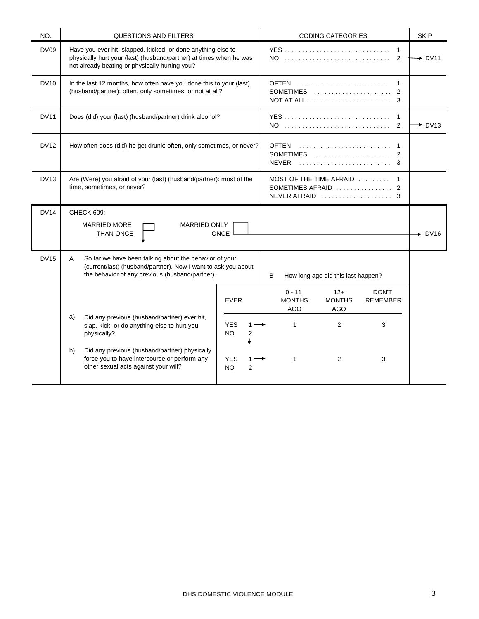| NO.              | <b>QUESTIONS AND FILTERS</b>                                                                                                                                                         |                              | <b>CODING CATEGORIES</b>                                                                                            |                          | <b>SKIP</b>                |
|------------------|--------------------------------------------------------------------------------------------------------------------------------------------------------------------------------------|------------------------------|---------------------------------------------------------------------------------------------------------------------|--------------------------|----------------------------|
| DV <sub>09</sub> | Have you ever hit, slapped, kicked, or done anything else to<br>physically hurt your (last) (husband/partner) at times when he was<br>not already beating or physically hurting you? |                              |                                                                                                                     | $\overline{1}$<br>2      | $\div$ DV11                |
| <b>DV10</b>      | In the last 12 months, how often have you done this to your (last)<br>(husband/partner): often, only sometimes, or not at all?                                                       |                              | SOMETIMES $\ldots \ldots \ldots \ldots \ldots \ldots$ 2<br>NOT AT ALL $\ldots \ldots \ldots \ldots \ldots \ldots$ 3 |                          |                            |
| <b>DV11</b>      | Does (did) your (last) (husband/partner) drink alcohol?                                                                                                                              |                              | NO                                                                                                                  | $\overline{2}$           | $\blacktriangleright$ DV13 |
| <b>DV12</b>      | How often does (did) he get drunk: often, only sometimes, or never?                                                                                                                  |                              | <b>OFTEN</b><br>$\mathbf{1}$<br>SOMETIMES $\ldots \ldots \ldots \ldots \ldots \ldots$ 2<br><b>NEVER</b><br>3        |                          |                            |
| <b>DV13</b>      | Are (Were) you afraid of your (last) (husband/partner): most of the<br>MOST OF THE TIME AFRAID<br>time, sometimes, or never?<br>SOMETIMES AFRAID  2<br>NEVER AFRAID  3               |                              |                                                                                                                     | $\overline{1}$           |                            |
| <b>DV14</b>      | CHECK 609:<br><b>MARRIED MORE</b><br>MARRIED ONLY<br>THAN ONCE<br>ONCE                                                                                                               |                              |                                                                                                                     |                          | <b>DV16</b>                |
| <b>DV15</b>      | So far we have been talking about the behavior of your<br>A<br>(current/last) (husband/partner). Now I want to ask you about<br>the behavior of any previous (husband/partner).      | <b>EVER</b>                  | B<br>How long ago did this last happen?<br>$0 - 11$<br>$12+$<br><b>MONTHS</b><br><b>MONTHS</b>                      | DON'T<br><b>REMEMBER</b> |                            |
|                  |                                                                                                                                                                                      |                              | <b>AGO</b><br><b>AGO</b>                                                                                            |                          |                            |
|                  | a)<br>Did any previous (husband/partner) ever hit,<br>slap, kick, or do anything else to hurt you<br>physically?                                                                     | <b>YES</b><br><b>NO</b><br>2 | $\mathbf{1}$<br>$\overline{2}$                                                                                      | 3                        |                            |
|                  | Did any previous (husband/partner) physically<br>b)<br>force you to have intercourse or perform any<br>other sexual acts against your will?                                          | <b>YES</b><br><b>NO</b><br>2 | 2<br>$\mathbf 1$                                                                                                    | 3                        |                            |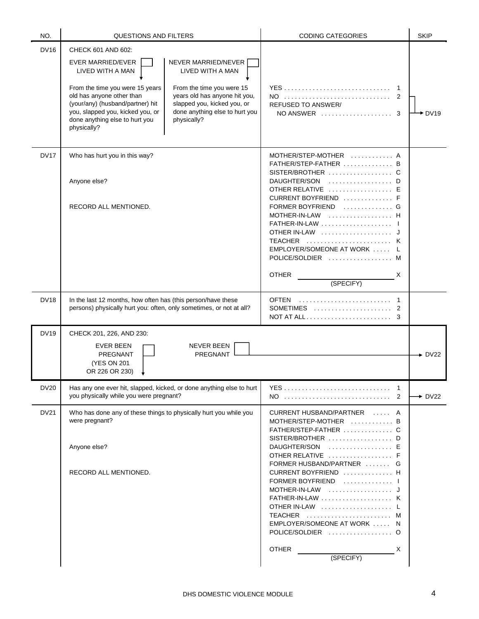| NO.         | <b>QUESTIONS AND FILTERS</b>                                                                                                                                                                                                                                                                                                                                                                                                   | <b>CODING CATEGORIES</b>                                                                                                                                                                                           | <b>SKIP</b>        |
|-------------|--------------------------------------------------------------------------------------------------------------------------------------------------------------------------------------------------------------------------------------------------------------------------------------------------------------------------------------------------------------------------------------------------------------------------------|--------------------------------------------------------------------------------------------------------------------------------------------------------------------------------------------------------------------|--------------------|
| <b>DV16</b> | CHECK 601 AND 602:                                                                                                                                                                                                                                                                                                                                                                                                             |                                                                                                                                                                                                                    |                    |
|             | <b>EVER MARRIED/EVER</b><br>NEVER MARRIED/NEVER<br>LIVED WITH A MAN<br>LIVED WITH A MAN<br>From the time you were 15 years<br>From the time you were 15<br>old has anyone other than<br>years old has anyone hit you,<br>(your/any) (husband/partner) hit<br>slapped you, kicked you, or<br>done anything else to hurt you<br>you, slapped you, kicked you, or<br>done anything else to hurt you<br>physically?<br>physically? | NO<br>2<br>REFUSED TO ANSWER/<br>NO ANSWER  3                                                                                                                                                                      | $\rightarrow$ DV19 |
| <b>DV17</b> | Who has hurt you in this way?                                                                                                                                                                                                                                                                                                                                                                                                  | MOTHER/STEP-MOTHER  A<br>$FATHER/STEP-FATHER$ B<br>SISTER/BROTHER C                                                                                                                                                |                    |
|             | Anyone else?                                                                                                                                                                                                                                                                                                                                                                                                                   | DAUGHTER/SON D<br>OTHER RELATIVE  E                                                                                                                                                                                |                    |
|             | RECORD ALL MENTIONED.                                                                                                                                                                                                                                                                                                                                                                                                          | CURRENT BOYFRIEND  F<br>FORMER BOYFRIEND  G<br>$MOTHER-IN-LAW$ ,,,,,,,,,,,,,,,,,,,,H<br>$FATHER-IN-LAW$ ,,,,,,,,,,,,,,,,,,,,,<br>OTHER IN-LAW  J<br>TEACHER  K<br>EMPLOYER/SOMEONE AT WORK  L<br>POLICE/SOLDIER  M |                    |
|             |                                                                                                                                                                                                                                                                                                                                                                                                                                | <b>OTHER</b><br>X<br>(SPECIFY)                                                                                                                                                                                     |                    |
| <b>DV18</b> | In the last 12 months, how often has (this person/have these<br>persons) physically hurt you: often, only sometimes, or not at all?                                                                                                                                                                                                                                                                                            | <b>OFTEN</b><br>SOMETIMES  2                                                                                                                                                                                       |                    |
| <b>DV19</b> | CHECK 201, 226, AND 230:                                                                                                                                                                                                                                                                                                                                                                                                       |                                                                                                                                                                                                                    |                    |
|             | EVER BEEN<br><b>NEVER BEEN</b><br>PREGNANT<br><b>PREGNANT</b><br>(YES ON 201<br>OR 226 OR 230)                                                                                                                                                                                                                                                                                                                                 |                                                                                                                                                                                                                    | $\div$ DV22        |
| <b>DV20</b> | Has any one ever hit, slapped, kicked, or done anything else to hurt<br>you physically while you were pregnant?                                                                                                                                                                                                                                                                                                                | -1                                                                                                                                                                                                                 | $\rightarrow$ DV22 |
| <b>DV21</b> | Who has done any of these things to physically hurt you while you<br>were pregnant?                                                                                                                                                                                                                                                                                                                                            | CURRENT HUSBAND/PARTNER  A<br>MOTHER/STEP-MOTHER  B<br>FATHER/STEP-FATHER C                                                                                                                                        |                    |
|             | Anyone else?                                                                                                                                                                                                                                                                                                                                                                                                                   | DAUGHTER/SON  E<br>OTHER RELATIVE  F<br>FORMER HUSBAND/PARTNER  G                                                                                                                                                  |                    |
|             | RECORD ALL MENTIONED.                                                                                                                                                                                                                                                                                                                                                                                                          | CURRENT BOYFRIEND  H<br>FORMER BOYFRIEND  I<br>$MOTHER-IN-LAW$<br>FATHER-IN-LAW  K<br>OTHER IN-LAW  L<br>TEACHER  M<br>EMPLOYER/SOMEONE AT WORK  N<br>POLICE/SOLDIER  O<br><b>OTHER</b><br>Χ<br>(SPECIFY)          |                    |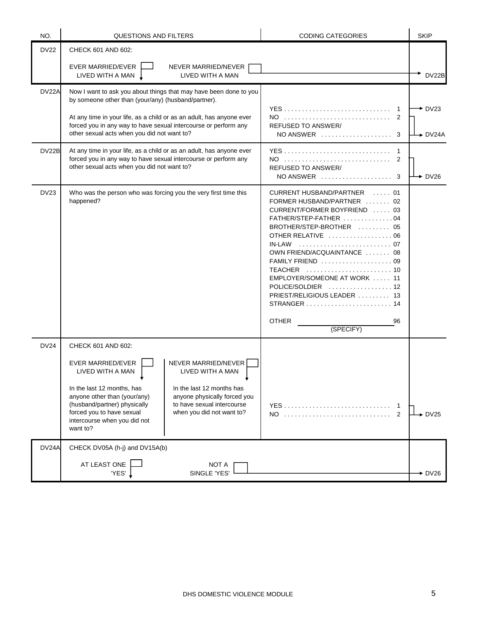| NO.                | <b>QUESTIONS AND FILTERS</b>                                                                                                                                                                                                                                                                                                                                                                          | <b>CODING CATEGORIES</b>                                                                                                                                                                                                                                                                                                                                                                           | <b>SKIP</b>                               |
|--------------------|-------------------------------------------------------------------------------------------------------------------------------------------------------------------------------------------------------------------------------------------------------------------------------------------------------------------------------------------------------------------------------------------------------|----------------------------------------------------------------------------------------------------------------------------------------------------------------------------------------------------------------------------------------------------------------------------------------------------------------------------------------------------------------------------------------------------|-------------------------------------------|
| <b>DV22</b>        | CHECK 601 AND 602:                                                                                                                                                                                                                                                                                                                                                                                    |                                                                                                                                                                                                                                                                                                                                                                                                    |                                           |
|                    | <b>EVER MARRIED/EVER</b><br>NEVER MARRIED/NEVER<br>LIVED WITH A MAN  <br>LIVED WITH A MAN                                                                                                                                                                                                                                                                                                             |                                                                                                                                                                                                                                                                                                                                                                                                    | DV22B                                     |
| DV <sub>22</sub> A | Now I want to ask you about things that may have been done to you<br>by someone other than (your/any) (husband/partner).                                                                                                                                                                                                                                                                              |                                                                                                                                                                                                                                                                                                                                                                                                    |                                           |
|                    | At any time in your life, as a child or as an adult, has anyone ever<br>forced you in any way to have sexual intercourse or perform any<br>other sexual acts when you did not want to?                                                                                                                                                                                                                | REFUSED TO ANSWER/<br>NO ANSWER  3                                                                                                                                                                                                                                                                                                                                                                 | $\rightarrow$ DV23<br>$\rightarrow$ DV24A |
| DV22B              | At any time in your life, as a child or as an adult, has anyone ever<br>forced you in any way to have sexual intercourse or perform any<br>other sexual acts when you did not want to?                                                                                                                                                                                                                | REFUSED TO ANSWER/<br>$NO$ ANSWER $\ldots \ldots \ldots \ldots \ldots$ 3                                                                                                                                                                                                                                                                                                                           | $\rightarrow$ DV26                        |
| <b>DV23</b>        | Who was the person who was forcing you the very first time this<br>happened?                                                                                                                                                                                                                                                                                                                          | CURRENT HUSBAND/PARTNER  01<br>FORMER HUSBAND/PARTNER  02<br>CURRENT/FORMER BOYFRIEND  03<br>FATHER/STEP-FATHER 04<br>BROTHER/STEP-BROTHER  05<br>OTHER RELATIVE  06<br>IN-LAW  07<br>OWN FRIEND/ACQUAINTANCE  08<br>FAMILY FRIEND  09<br>TEACHER  10<br>EMPLOYER/SOMEONE AT WORK  11<br>$POLICE/ SOLDIER$ ,,,,,,,,,,,,,,,,,,,12<br>PRIEST/RELIGIOUS LEADER  13<br><b>OTHER</b><br>96<br>(SPECIFY) |                                           |
| <b>DV24</b>        | CHECK 601 AND 602:<br>NEVER MARRIED/NEVER<br>EVER MARRIED/EVER<br>LIVED WITH A MAN<br>LIVED WITH A MAN<br>In the last 12 months, has<br>In the last 12 months has<br>anyone other than (your/any)<br>anyone physically forced you<br>(husband/partner) physically<br>to have sexual intercourse<br>forced you to have sexual<br>when you did not want to?<br>intercourse when you did not<br>want to? | 1<br>NO<br>2                                                                                                                                                                                                                                                                                                                                                                                       | $\rightarrow$ DV25                        |
| DV24A              | CHECK DV05A (h-j) and DV15A(b)<br>AT LEAST ONE<br>NOT A<br>'YES'<br>SINGLE 'YES'                                                                                                                                                                                                                                                                                                                      |                                                                                                                                                                                                                                                                                                                                                                                                    | $\blacktriangleright$ DV26                |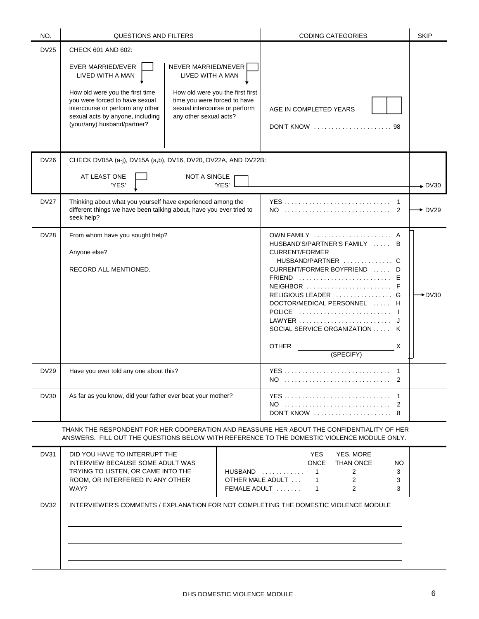| NO.         | QUESTIONS AND FILTERS                                                                                                                                                                                                                                                                                                                                                                                                    |       | <b>CODING CATEGORIES</b>                                                                                                                                                                                                                                                                                                                             | <b>SKIP</b>        |
|-------------|--------------------------------------------------------------------------------------------------------------------------------------------------------------------------------------------------------------------------------------------------------------------------------------------------------------------------------------------------------------------------------------------------------------------------|-------|------------------------------------------------------------------------------------------------------------------------------------------------------------------------------------------------------------------------------------------------------------------------------------------------------------------------------------------------------|--------------------|
| <b>DV25</b> | CHECK 601 AND 602:<br><b>EVER MARRIED/EVER</b><br>NEVER MARRIED/NEVER<br>LIVED WITH A MAN<br>LIVED WITH A MAN<br>How old were you the first time<br>How old were you the first first<br>you were forced to have sexual<br>time you were forced to have<br>intercourse or perform any other<br>sexual intercourse or perform<br>sexual acts by anyone, including<br>any other sexual acts?<br>(your/any) husband/partner? |       | AGE IN COMPLETED YEARS<br>DON'T KNOW  98                                                                                                                                                                                                                                                                                                             |                    |
| <b>DV26</b> | CHECK DV05A (a-j), DV15A (a,b), DV16, DV20, DV22A, AND DV22B:                                                                                                                                                                                                                                                                                                                                                            |       |                                                                                                                                                                                                                                                                                                                                                      |                    |
|             | AT LEAST ONE<br>NOT A SINGLE<br>'YES'                                                                                                                                                                                                                                                                                                                                                                                    | 'YES' |                                                                                                                                                                                                                                                                                                                                                      | $\bullet$ DV30     |
| <b>DV27</b> | Thinking about what you yourself have experienced among the<br>different things we have been talking about, have you ever tried to<br>seek help?                                                                                                                                                                                                                                                                         |       |                                                                                                                                                                                                                                                                                                                                                      | $\rightarrow$ DV29 |
| <b>DV28</b> | From whom have you sought help?<br>Anyone else?<br>RECORD ALL MENTIONED.                                                                                                                                                                                                                                                                                                                                                 |       | OWN FAMILY  A<br>HUSBAND'S/PARTNER'S FAMILY  B<br><b>CURRENT/FORMER</b><br>HUSBAND/PARTNER C<br>CURRENT/FORMER BOYFRIEND  D<br>FRIEND  E<br>$NEIGHBOR$ F<br>RELIGIOUS LEADER  G<br>DOCTOR/MEDICAL PERSONNEL  H<br>POLICE   <br>LAWYER $\ldots \ldots \ldots \ldots \ldots \ldots$<br>SOCIAL SERVICE ORGANIZATION K<br><b>OTHER</b><br>X<br>(SPECIFY) | $\rightarrow$ DV30 |
| <b>DV29</b> | Have you ever told any one about this?                                                                                                                                                                                                                                                                                                                                                                                   |       | $\overline{1}$<br>NO<br>2                                                                                                                                                                                                                                                                                                                            |                    |
| <b>DV30</b> | As far as you know, did your father ever beat your mother?                                                                                                                                                                                                                                                                                                                                                               |       | -1<br>NO  2<br>DON'T KNOW $\ldots \ldots \ldots \ldots \ldots$ 8                                                                                                                                                                                                                                                                                     |                    |
|             | THANK THE RESPONDENT FOR HER COOPERATION AND REASSURE HER ABOUT THE CONFIDENTIALITY OF HER<br>ANSWERS. FILL OUT THE QUESTIONS BELOW WITH REFERENCE TO THE DOMESTIC VIOLENCE MODULE ONLY.                                                                                                                                                                                                                                 |       |                                                                                                                                                                                                                                                                                                                                                      |                    |
| <b>DV31</b> | DID YOU HAVE TO INTERRUPT THE<br>INTERVIEW BECAUSE SOME ADULT WAS<br>TRYING TO LISTEN, OR CAME INTO THE<br>ROOM, OR INTERFERED IN ANY OTHER<br>WAY?                                                                                                                                                                                                                                                                      |       | <b>YES</b><br>YES, MORE<br><b>ONCE</b><br><b>THAN ONCE</b><br>NO.<br>$HUSBAND$ ,,,,,,,,,,,,<br>$\mathbf{1}$<br>2<br>3<br>OTHER MALE ADULT<br>$\mathbf{1}$<br>2<br>3<br>2<br>3<br>FEMALE ADULT<br>$\mathbf{1}$                                                                                                                                        |                    |
| <b>DV32</b> | INTERVIEWER'S COMMENTS / EXPLANATION FOR NOT COMPLETING THE DOMESTIC VIOLENCE MODULE                                                                                                                                                                                                                                                                                                                                     |       |                                                                                                                                                                                                                                                                                                                                                      |                    |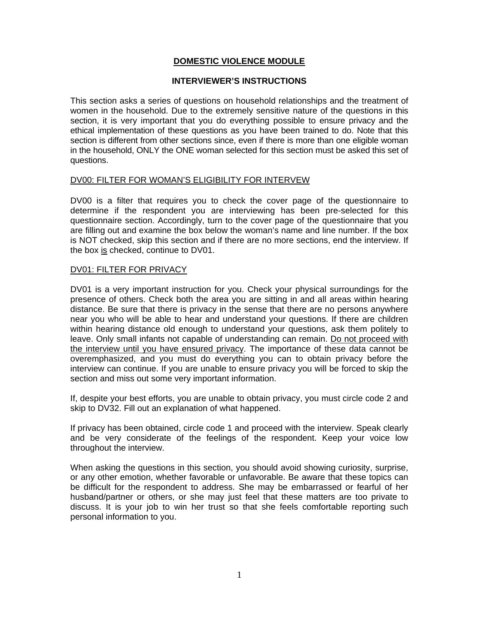## **DOMESTIC VIOLENCE MODULE**

#### **INTERVIEWER'S INSTRUCTIONS**

This section asks a series of questions on household relationships and the treatment of women in the household. Due to the extremely sensitive nature of the questions in this section, it is very important that you do everything possible to ensure privacy and the ethical implementation of these questions as you have been trained to do. Note that this section is different from other sections since, even if there is more than one eligible woman in the household, ONLY the ONE woman selected for this section must be asked this set of questions.

#### DV00: FILTER FOR WOMAN'S ELIGIBILITY FOR INTERVEW

DV00 is a filter that requires you to check the cover page of the questionnaire to determine if the respondent you are interviewing has been pre-selected for this questionnaire section. Accordingly, turn to the cover page of the questionnaire that you are filling out and examine the box below the woman's name and line number. If the box is NOT checked, skip this section and if there are no more sections, end the interview. If the box is checked, continue to DV01.

#### DV01: FILTER FOR PRIVACY

DV01 is a very important instruction for you. Check your physical surroundings for the presence of others. Check both the area you are sitting in and all areas within hearing distance. Be sure that there is privacy in the sense that there are no persons anywhere near you who will be able to hear and understand your questions. If there are children within hearing distance old enough to understand your questions, ask them politely to leave. Only small infants not capable of understanding can remain. Do not proceed with the interview until you have ensured privacy. The importance of these data cannot be overemphasized, and you must do everything you can to obtain privacy before the interview can continue. If you are unable to ensure privacy you will be forced to skip the section and miss out some very important information.

If, despite your best efforts, you are unable to obtain privacy, you must circle code 2 and skip to DV32. Fill out an explanation of what happened.

If privacy has been obtained, circle code 1 and proceed with the interview. Speak clearly and be very considerate of the feelings of the respondent. Keep your voice low throughout the interview.

When asking the questions in this section, you should avoid showing curiosity, surprise, or any other emotion, whether favorable or unfavorable. Be aware that these topics can be difficult for the respondent to address. She may be embarrassed or fearful of her husband/partner or others, or she may just feel that these matters are too private to discuss. It is your job to win her trust so that she feels comfortable reporting such personal information to you.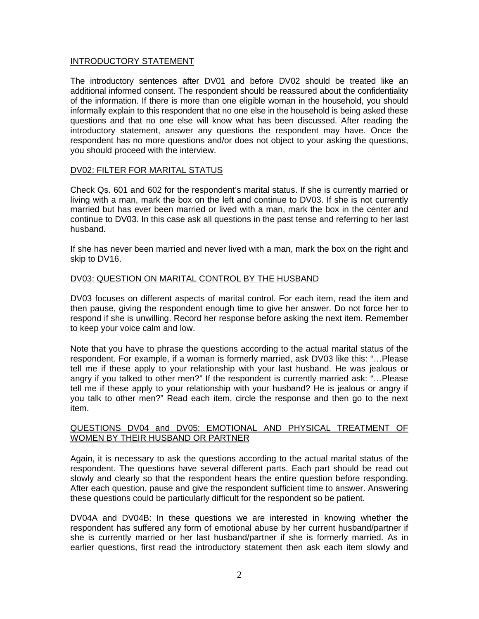#### INTRODUCTORY STATEMENT

The introductory sentences after DV01 and before DV02 should be treated like an additional informed consent. The respondent should be reassured about the confidentiality of the information. If there is more than one eligible woman in the household, you should informally explain to this respondent that no one else in the household is being asked these questions and that no one else will know what has been discussed. After reading the introductory statement, answer any questions the respondent may have. Once the respondent has no more questions and/or does not object to your asking the questions, you should proceed with the interview.

#### DV02: FILTER FOR MARITAL STATUS

Check Qs. 601 and 602 for the respondent's marital status. If she is currently married or living with a man, mark the box on the left and continue to DV03. If she is not currently married but has ever been married or lived with a man, mark the box in the center and continue to DV03. In this case ask all questions in the past tense and referring to her last husband.

If she has never been married and never lived with a man, mark the box on the right and skip to DV16.

#### DV03: QUESTION ON MARITAL CONTROL BY THE HUSBAND

DV03 focuses on different aspects of marital control. For each item, read the item and then pause, giving the respondent enough time to give her answer. Do not force her to respond if she is unwilling. Record her response before asking the next item. Remember to keep your voice calm and low.

Note that you have to phrase the questions according to the actual marital status of the respondent. For example, if a woman is formerly married, ask DV03 like this: "…Please tell me if these apply to your relationship with your last husband. He was jealous or angry if you talked to other men?" If the respondent is currently married ask: "…Please tell me if these apply to your relationship with your husband? He is jealous or angry if you talk to other men?" Read each item, circle the response and then go to the next item.

#### QUESTIONS DV04 and DV05: EMOTIONAL AND PHYSICAL TREATMENT OF WOMEN BY THEIR HUSBAND OR PARTNER

Again, it is necessary to ask the questions according to the actual marital status of the respondent. The questions have several different parts. Each part should be read out slowly and clearly so that the respondent hears the entire question before responding. After each question, pause and give the respondent sufficient time to answer. Answering these questions could be particularly difficult for the respondent so be patient.

DV04A and DV04B: In these questions we are interested in knowing whether the respondent has suffered any form of emotional abuse by her current husband/partner if she is currently married or her last husband/partner if she is formerly married. As in earlier questions, first read the introductory statement then ask each item slowly and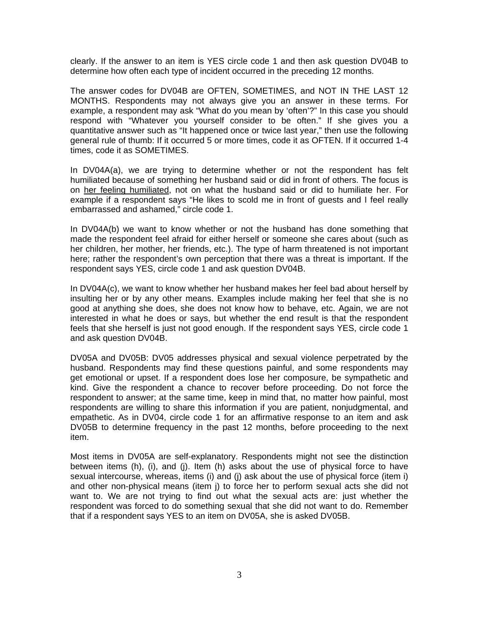clearly. If the answer to an item is YES circle code 1 and then ask question DV04B to determine how often each type of incident occurred in the preceding 12 months.

The answer codes for DV04B are OFTEN, SOMETIMES, and NOT IN THE LAST 12 MONTHS. Respondents may not always give you an answer in these terms. For example, a respondent may ask "What do you mean by 'often'?" In this case you should respond with "Whatever you yourself consider to be often." If she gives you a quantitative answer such as "It happened once or twice last year," then use the following general rule of thumb: If it occurred 5 or more times, code it as OFTEN. If it occurred 1-4 times, code it as SOMETIMES.

In DV04A(a), we are trying to determine whether or not the respondent has felt humiliated because of something her husband said or did in front of others. The focus is on her feeling humiliated, not on what the husband said or did to humiliate her. For example if a respondent says "He likes to scold me in front of guests and I feel really embarrassed and ashamed," circle code 1.

In DV04A(b) we want to know whether or not the husband has done something that made the respondent feel afraid for either herself or someone she cares about (such as her children, her mother, her friends, etc.). The type of harm threatened is not important here; rather the respondent's own perception that there was a threat is important. If the respondent says YES, circle code 1 and ask question DV04B.

In DV04A(c), we want to know whether her husband makes her feel bad about herself by insulting her or by any other means. Examples include making her feel that she is no good at anything she does, she does not know how to behave, etc. Again, we are not interested in what he does or says, but whether the end result is that the respondent feels that she herself is just not good enough. If the respondent says YES, circle code 1 and ask question DV04B.

DV05A and DV05B: DV05 addresses physical and sexual violence perpetrated by the husband. Respondents may find these questions painful, and some respondents may get emotional or upset. If a respondent does lose her composure, be sympathetic and kind. Give the respondent a chance to recover before proceeding. Do not force the respondent to answer; at the same time, keep in mind that, no matter how painful, most respondents are willing to share this information if you are patient, nonjudgmental, and empathetic. As in DV04, circle code 1 for an affirmative response to an item and ask DV05B to determine frequency in the past 12 months, before proceeding to the next item.

Most items in DV05A are self-explanatory. Respondents might not see the distinction between items (h), (i), and (j). Item (h) asks about the use of physical force to have sexual intercourse, whereas, items (i) and (j) ask about the use of physical force (item i) and other non-physical means (item j) to force her to perform sexual acts she did not want to. We are not trying to find out what the sexual acts are: just whether the respondent was forced to do something sexual that she did not want to do. Remember that if a respondent says YES to an item on DV05A, she is asked DV05B.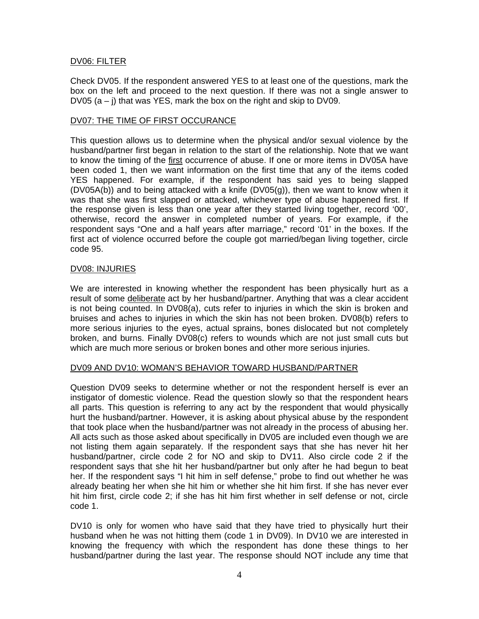#### DV06: FILTER

Check DV05. If the respondent answered YES to at least one of the questions, mark the box on the left and proceed to the next question. If there was not a single answer to DV05 (a – j) that was YES, mark the box on the right and skip to DV09.

#### DV07: THE TIME OF FIRST OCCURANCE

This question allows us to determine when the physical and/or sexual violence by the husband/partner first began in relation to the start of the relationship. Note that we want to know the timing of the first occurrence of abuse. If one or more items in DV05A have been coded 1, then we want information on the first time that any of the items coded YES happened. For example, if the respondent has said yes to being slapped  $(DV05A(b))$  and to being attacked with a knife  $(DV05(q))$ , then we want to know when it was that she was first slapped or attacked, whichever type of abuse happened first. If the response given is less than one year after they started living together, record '00', otherwise, record the answer in completed number of years. For example, if the respondent says "One and a half years after marriage," record '01' in the boxes. If the first act of violence occurred before the couple got married/began living together, circle code 95.

#### DV08: INJURIES

We are interested in knowing whether the respondent has been physically hurt as a result of some deliberate act by her husband/partner. Anything that was a clear accident is not being counted. In DV08(a), cuts refer to injuries in which the skin is broken and bruises and aches to injuries in which the skin has not been broken. DV08(b) refers to more serious injuries to the eyes, actual sprains, bones dislocated but not completely broken, and burns. Finally DV08(c) refers to wounds which are not just small cuts but which are much more serious or broken bones and other more serious injuries.

#### DV09 AND DV10: WOMAN'S BEHAVIOR TOWARD HUSBAND/PARTNER

Question DV09 seeks to determine whether or not the respondent herself is ever an instigator of domestic violence. Read the question slowly so that the respondent hears all parts. This question is referring to any act by the respondent that would physically hurt the husband/partner. However, it is asking about physical abuse by the respondent that took place when the husband/partner was not already in the process of abusing her. All acts such as those asked about specifically in DV05 are included even though we are not listing them again separately. If the respondent says that she has never hit her husband/partner, circle code 2 for NO and skip to DV11. Also circle code 2 if the respondent says that she hit her husband/partner but only after he had begun to beat her. If the respondent says "I hit him in self defense," probe to find out whether he was already beating her when she hit him or whether she hit him first. If she has never ever hit him first, circle code 2; if she has hit him first whether in self defense or not, circle code 1.

DV10 is only for women who have said that they have tried to physically hurt their husband when he was not hitting them (code 1 in DV09). In DV10 we are interested in knowing the frequency with which the respondent has done these things to her husband/partner during the last year. The response should NOT include any time that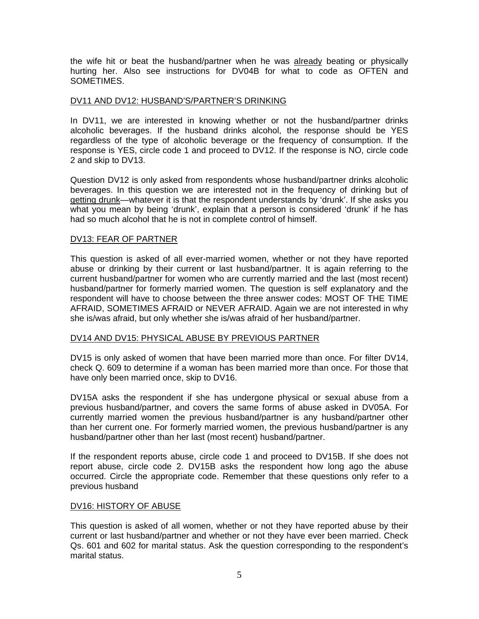the wife hit or beat the husband/partner when he was already beating or physically hurting her. Also see instructions for DV04B for what to code as OFTEN and SOMETIMES.

#### DV11 AND DV12: HUSBAND'S/PARTNER'S DRINKING

In DV11, we are interested in knowing whether or not the husband/partner drinks alcoholic beverages. If the husband drinks alcohol, the response should be YES regardless of the type of alcoholic beverage or the frequency of consumption. If the response is YES, circle code 1 and proceed to DV12. If the response is NO, circle code 2 and skip to DV13.

Question DV12 is only asked from respondents whose husband/partner drinks alcoholic beverages. In this question we are interested not in the frequency of drinking but of getting drunk—whatever it is that the respondent understands by 'drunk'. If she asks you what you mean by being 'drunk', explain that a person is considered 'drunk' if he has had so much alcohol that he is not in complete control of himself.

#### DV13: FEAR OF PARTNER

This question is asked of all ever-married women, whether or not they have reported abuse or drinking by their current or last husband/partner. It is again referring to the current husband/partner for women who are currently married and the last (most recent) husband/partner for formerly married women. The question is self explanatory and the respondent will have to choose between the three answer codes: MOST OF THE TIME AFRAID, SOMETIMES AFRAID or NEVER AFRAID. Again we are not interested in why she is/was afraid, but only whether she is/was afraid of her husband/partner.

#### DV14 AND DV15: PHYSICAL ABUSE BY PREVIOUS PARTNER

DV15 is only asked of women that have been married more than once. For filter DV14, check Q. 609 to determine if a woman has been married more than once. For those that have only been married once, skip to DV16.

DV15A asks the respondent if she has undergone physical or sexual abuse from a previous husband/partner, and covers the same forms of abuse asked in DV05A. For currently married women the previous husband/partner is any husband/partner other than her current one. For formerly married women, the previous husband/partner is any husband/partner other than her last (most recent) husband/partner.

If the respondent reports abuse, circle code 1 and proceed to DV15B. If she does not report abuse, circle code 2. DV15B asks the respondent how long ago the abuse occurred. Circle the appropriate code. Remember that these questions only refer to a previous husband

### DV16: HISTORY OF ABUSE

This question is asked of all women, whether or not they have reported abuse by their current or last husband/partner and whether or not they have ever been married. Check Qs. 601 and 602 for marital status. Ask the question corresponding to the respondent's marital status.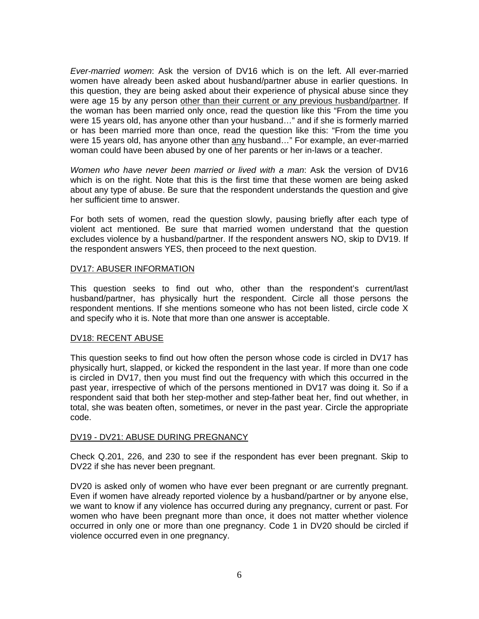*Ever-married women*: Ask the version of DV16 which is on the left. All ever-married women have already been asked about husband/partner abuse in earlier questions. In this question, they are being asked about their experience of physical abuse since they were age 15 by any person other than their current or any previous husband/partner. If the woman has been married only once, read the question like this "From the time you were 15 years old, has anyone other than your husband…" and if she is formerly married or has been married more than once, read the question like this: "From the time you were 15 years old, has anyone other than any husband..." For example, an ever-married woman could have been abused by one of her parents or her in-laws or a teacher.

*Women who have never been married or lived with a man*: Ask the version of DV16 which is on the right. Note that this is the first time that these women are being asked about any type of abuse. Be sure that the respondent understands the question and give her sufficient time to answer.

For both sets of women, read the question slowly, pausing briefly after each type of violent act mentioned. Be sure that married women understand that the question excludes violence by a husband/partner. If the respondent answers NO, skip to DV19. If the respondent answers YES, then proceed to the next question.

#### DV17: ABUSER INFORMATION

This question seeks to find out who, other than the respondent's current/last husband/partner, has physically hurt the respondent. Circle all those persons the respondent mentions. If she mentions someone who has not been listed, circle code X and specify who it is. Note that more than one answer is acceptable.

### DV18: RECENT ABUSE

This question seeks to find out how often the person whose code is circled in DV17 has physically hurt, slapped, or kicked the respondent in the last year. If more than one code is circled in DV17, then you must find out the frequency with which this occurred in the past year, irrespective of which of the persons mentioned in DV17 was doing it. So if a respondent said that both her step-mother and step-father beat her, find out whether, in total, she was beaten often, sometimes, or never in the past year. Circle the appropriate code.

#### DV19 - DV21: ABUSE DURING PREGNANCY

Check Q.201, 226, and 230 to see if the respondent has ever been pregnant. Skip to DV22 if she has never been pregnant.

DV20 is asked only of women who have ever been pregnant or are currently pregnant. Even if women have already reported violence by a husband/partner or by anyone else, we want to know if any violence has occurred during any pregnancy, current or past. For women who have been pregnant more than once, it does not matter whether violence occurred in only one or more than one pregnancy. Code 1 in DV20 should be circled if violence occurred even in one pregnancy.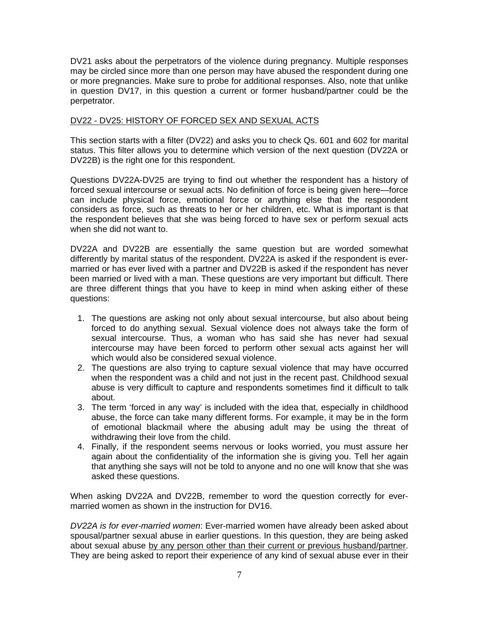DV21 asks about the perpetrators of the violence during pregnancy. Multiple responses may be circled since more than one person may have abused the respondent during one or more pregnancies. Make sure to probe for additional responses. Also, note that unlike in question DV17, in this question a current or former husband/partner could be the perpetrator.

#### DV22 - DV25: HISTORY OF FORCED SEX AND SEXUAL ACTS

This section starts with a filter (DV22) and asks you to check Qs. 601 and 602 for marital status. This filter allows you to determine which version of the next question (DV22A or DV22B) is the right one for this respondent.

Questions DV22A-DV25 are trying to find out whether the respondent has a history of forced sexual intercourse or sexual acts. No definition of force is being given here—force can include physical force, emotional force or anything else that the respondent considers as force, such as threats to her or her children, etc. What is important is that the respondent believes that she was being forced to have sex or perform sexual acts when she did not want to.

DV22A and DV22B are essentially the same question but are worded somewhat differently by marital status of the respondent. DV22A is asked if the respondent is evermarried or has ever lived with a partner and DV22B is asked if the respondent has never been married or lived with a man. These questions are very important but difficult. There are three different things that you have to keep in mind when asking either of these questions:

- 1. The questions are asking not only about sexual intercourse, but also about being forced to do anything sexual. Sexual violence does not always take the form of sexual intercourse. Thus, a woman who has said she has never had sexual intercourse may have been forced to perform other sexual acts against her will which would also be considered sexual violence.
- 2. The questions are also trying to capture sexual violence that may have occurred when the respondent was a child and not just in the recent past. Childhood sexual abuse is very difficult to capture and respondents sometimes find it difficult to talk about.
- 3. The term 'forced in any way' is included with the idea that, especially in childhood abuse, the force can take many different forms. For example, it may be in the form of emotional blackmail where the abusing adult may be using the threat of withdrawing their love from the child.
- 4. Finally, if the respondent seems nervous or looks worried, you must assure her again about the confidentiality of the information she is giving you. Tell her again that anything she says will not be told to anyone and no one will know that she was asked these questions.

When asking DV22A and DV22B, remember to word the question correctly for evermarried women as shown in the instruction for DV16.

*DV22A is for ever-married women*: Ever-married women have already been asked about spousal/partner sexual abuse in earlier questions. In this question, they are being asked about sexual abuse by any person other than their current or previous husband/partner. They are being asked to report their experience of any kind of sexual abuse ever in their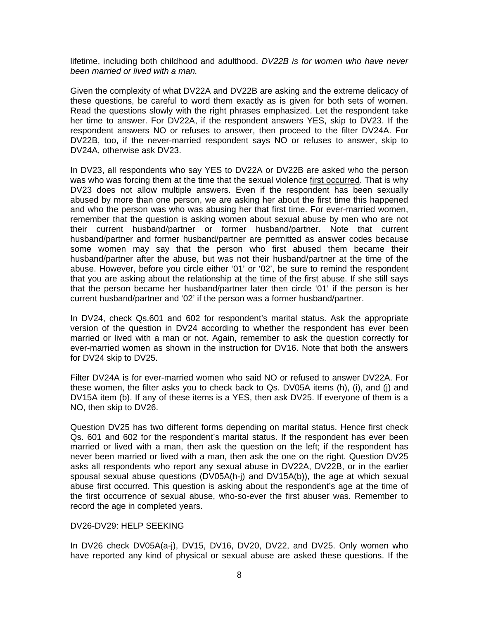lifetime, including both childhood and adulthood. *DV22B is for women who have never been married or lived with a man.*

Given the complexity of what DV22A and DV22B are asking and the extreme delicacy of these questions, be careful to word them exactly as is given for both sets of women. Read the questions slowly with the right phrases emphasized. Let the respondent take her time to answer. For DV22A, if the respondent answers YES, skip to DV23. If the respondent answers NO or refuses to answer, then proceed to the filter DV24A. For DV22B, too, if the never-married respondent says NO or refuses to answer, skip to DV24A, otherwise ask DV23.

In DV23, all respondents who say YES to DV22A or DV22B are asked who the person was who was forcing them at the time that the sexual violence first occurred. That is why DV23 does not allow multiple answers. Even if the respondent has been sexually abused by more than one person, we are asking her about the first time this happened and who the person was who was abusing her that first time. For ever-married women, remember that the question is asking women about sexual abuse by men who are not their current husband/partner or former husband/partner. Note that current husband/partner and former husband/partner are permitted as answer codes because some women may say that the person who first abused them became their husband/partner after the abuse, but was not their husband/partner at the time of the abuse. However, before you circle either '01' or '02', be sure to remind the respondent that you are asking about the relationship at the time of the first abuse. If she still says that the person became her husband/partner later then circle '01' if the person is her current husband/partner and '02' if the person was a former husband/partner.

In DV24, check Qs.601 and 602 for respondent's marital status. Ask the appropriate version of the question in DV24 according to whether the respondent has ever been married or lived with a man or not. Again, remember to ask the question correctly for ever-married women as shown in the instruction for DV16. Note that both the answers for DV24 skip to DV25.

Filter DV24A is for ever-married women who said NO or refused to answer DV22A. For these women, the filter asks you to check back to Qs. DV05A items (h), (i), and (j) and DV15A item (b). If any of these items is a YES, then ask DV25. If everyone of them is a NO, then skip to DV26.

Question DV25 has two different forms depending on marital status. Hence first check Qs. 601 and 602 for the respondent's marital status. If the respondent has ever been married or lived with a man, then ask the question on the left; if the respondent has never been married or lived with a man, then ask the one on the right. Question DV25 asks all respondents who report any sexual abuse in DV22A, DV22B, or in the earlier spousal sexual abuse questions (DV05A(h-j) and DV15A(b)), the age at which sexual abuse first occurred. This question is asking about the respondent's age at the time of the first occurrence of sexual abuse, who-so-ever the first abuser was. Remember to record the age in completed years.

### DV26-DV29: HELP SEEKING

In DV26 check DV05A(a-j), DV15, DV16, DV20, DV22, and DV25. Only women who have reported any kind of physical or sexual abuse are asked these questions. If the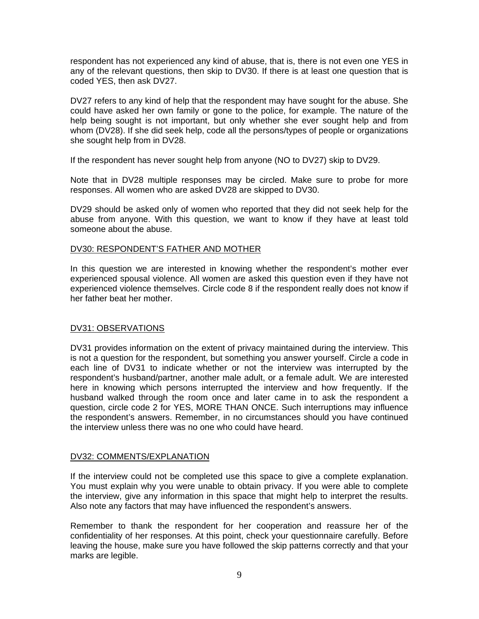respondent has not experienced any kind of abuse, that is, there is not even one YES in any of the relevant questions, then skip to DV30. If there is at least one question that is coded YES, then ask DV27.

DV27 refers to any kind of help that the respondent may have sought for the abuse. She could have asked her own family or gone to the police, for example. The nature of the help being sought is not important, but only whether she ever sought help and from whom (DV28). If she did seek help, code all the persons/types of people or organizations she sought help from in DV28.

If the respondent has never sought help from anyone (NO to DV27) skip to DV29.

Note that in DV28 multiple responses may be circled. Make sure to probe for more responses. All women who are asked DV28 are skipped to DV30.

DV29 should be asked only of women who reported that they did not seek help for the abuse from anyone. With this question, we want to know if they have at least told someone about the abuse.

#### DV30: RESPONDENT'S FATHER AND MOTHER

In this question we are interested in knowing whether the respondent's mother ever experienced spousal violence. All women are asked this question even if they have not experienced violence themselves. Circle code 8 if the respondent really does not know if her father beat her mother.

### DV31: OBSERVATIONS

DV31 provides information on the extent of privacy maintained during the interview. This is not a question for the respondent, but something you answer yourself. Circle a code in each line of DV31 to indicate whether or not the interview was interrupted by the respondent's husband/partner, another male adult, or a female adult. We are interested here in knowing which persons interrupted the interview and how frequently. If the husband walked through the room once and later came in to ask the respondent a question, circle code 2 for YES, MORE THAN ONCE. Such interruptions may influence the respondent's answers. Remember, in no circumstances should you have continued the interview unless there was no one who could have heard.

#### DV32: COMMENTS/EXPLANATION

If the interview could not be completed use this space to give a complete explanation. You must explain why you were unable to obtain privacy. If you were able to complete the interview, give any information in this space that might help to interpret the results. Also note any factors that may have influenced the respondent's answers.

Remember to thank the respondent for her cooperation and reassure her of the confidentiality of her responses. At this point, check your questionnaire carefully. Before leaving the house, make sure you have followed the skip patterns correctly and that your marks are legible.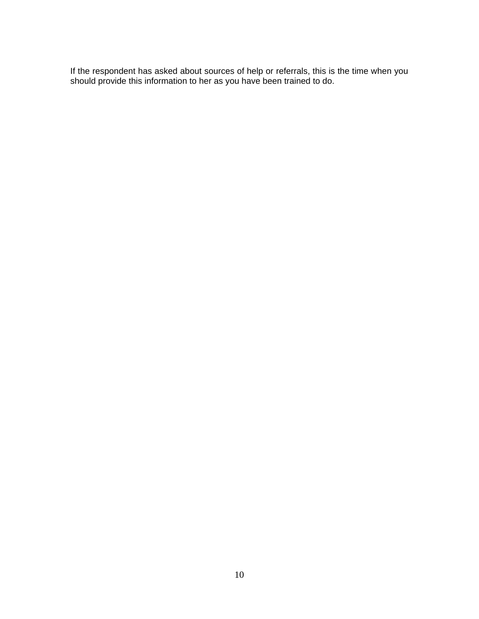If the respondent has asked about sources of help or referrals, this is the time when you should provide this information to her as you have been trained to do.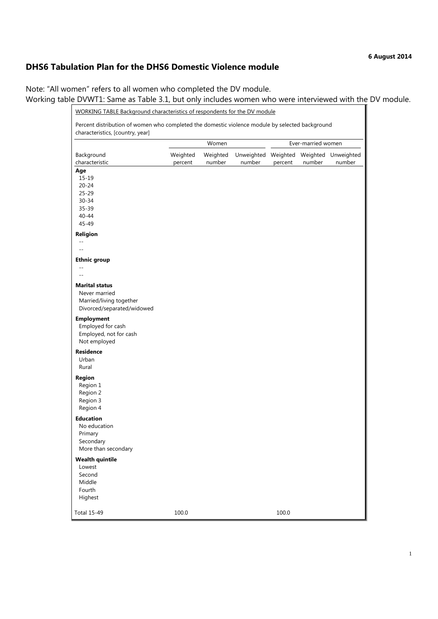#### **6 August 2014**

1

## **DHS6 Tabulation Plan for the DHS6 Domestic Violence module**

Note: "All women" refers to all women who completed the DV module.

Working table DVWT1: Same as Table 3.1, but only includes women who were interviewed with the DV module.

|                                          |                     | Women              |                                                   | Ever-married women |        |        |  |
|------------------------------------------|---------------------|--------------------|---------------------------------------------------|--------------------|--------|--------|--|
| Background<br>characteristic             | Weighted<br>percent | Weighted<br>number | Unweighted Weighted Weighted Unweighted<br>number | percent            | number | number |  |
| Age                                      |                     |                    |                                                   |                    |        |        |  |
| 15-19                                    |                     |                    |                                                   |                    |        |        |  |
| $20 - 24$                                |                     |                    |                                                   |                    |        |        |  |
| $25 - 29$                                |                     |                    |                                                   |                    |        |        |  |
| $30 - 34$<br>$35 - 39$                   |                     |                    |                                                   |                    |        |        |  |
| $40 - 44$                                |                     |                    |                                                   |                    |        |        |  |
| 45-49                                    |                     |                    |                                                   |                    |        |        |  |
| Religion                                 |                     |                    |                                                   |                    |        |        |  |
| $\overline{a}$<br>$-$                    |                     |                    |                                                   |                    |        |        |  |
| <b>Ethnic group</b>                      |                     |                    |                                                   |                    |        |        |  |
| $\overline{\phantom{a}}$                 |                     |                    |                                                   |                    |        |        |  |
| $\sim$                                   |                     |                    |                                                   |                    |        |        |  |
| <b>Marital status</b>                    |                     |                    |                                                   |                    |        |        |  |
| Never married<br>Married/living together |                     |                    |                                                   |                    |        |        |  |
| Divorced/separated/widowed               |                     |                    |                                                   |                    |        |        |  |
| <b>Employment</b>                        |                     |                    |                                                   |                    |        |        |  |
| Employed for cash                        |                     |                    |                                                   |                    |        |        |  |
| Employed, not for cash                   |                     |                    |                                                   |                    |        |        |  |
| Not employed                             |                     |                    |                                                   |                    |        |        |  |
| <b>Residence</b>                         |                     |                    |                                                   |                    |        |        |  |
| Urban                                    |                     |                    |                                                   |                    |        |        |  |
| Rural                                    |                     |                    |                                                   |                    |        |        |  |
| Region                                   |                     |                    |                                                   |                    |        |        |  |
| Region 1                                 |                     |                    |                                                   |                    |        |        |  |
| Region 2<br>Region 3                     |                     |                    |                                                   |                    |        |        |  |
| Region 4                                 |                     |                    |                                                   |                    |        |        |  |
| <b>Education</b>                         |                     |                    |                                                   |                    |        |        |  |
| No education                             |                     |                    |                                                   |                    |        |        |  |
| Primary                                  |                     |                    |                                                   |                    |        |        |  |
| Secondary                                |                     |                    |                                                   |                    |        |        |  |
| More than secondary                      |                     |                    |                                                   |                    |        |        |  |
| <b>Wealth quintile</b>                   |                     |                    |                                                   |                    |        |        |  |
| Lowest                                   |                     |                    |                                                   |                    |        |        |  |
| Second<br>Middle                         |                     |                    |                                                   |                    |        |        |  |
| Fourth                                   |                     |                    |                                                   |                    |        |        |  |
| Highest                                  |                     |                    |                                                   |                    |        |        |  |
|                                          |                     |                    |                                                   |                    |        |        |  |
| <b>Total 15-49</b>                       | 100.0               |                    |                                                   | 100.0              |        |        |  |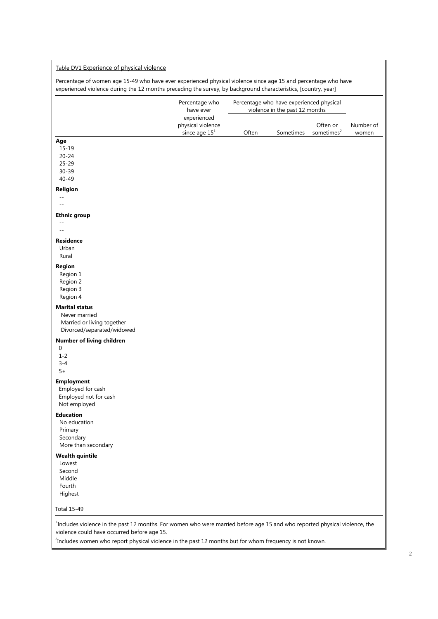#### Table DV1 Experience of physical violence

Percentage of women age 15-49 who have ever experienced physical violence since age 15 and percentage who have experienced violence during the 12 months preceding the survey, by background characteristics, [country, year]

|                                                                                                    | Percentage who<br>have ever                         |       | Percentage who have experienced physical<br>violence in the past 12 months |                                    |                    |
|----------------------------------------------------------------------------------------------------|-----------------------------------------------------|-------|----------------------------------------------------------------------------|------------------------------------|--------------------|
|                                                                                                    | experienced<br>physical violence<br>since age $151$ | Often | Sometimes                                                                  | Often or<br>sometimes <sup>2</sup> | Number of<br>women |
| Age<br>$15 - 19$<br>$20 - 24$<br>$25 - 29$<br>30-39<br>40-49                                       |                                                     |       |                                                                            |                                    |                    |
| Religion<br>$-$<br>$\overline{a}$                                                                  |                                                     |       |                                                                            |                                    |                    |
| <b>Ethnic group</b><br>$-$                                                                         |                                                     |       |                                                                            |                                    |                    |
| <b>Residence</b><br>Urban<br>Rural                                                                 |                                                     |       |                                                                            |                                    |                    |
| Region<br>Region 1<br>Region 2<br>Region 3<br>Region 4                                             |                                                     |       |                                                                            |                                    |                    |
| <b>Marital status</b><br>Never married<br>Married or living together<br>Divorced/separated/widowed |                                                     |       |                                                                            |                                    |                    |
| Number of living children<br>0<br>$1 - 2$<br>$3 - 4$<br>$5+$                                       |                                                     |       |                                                                            |                                    |                    |
| <b>Employment</b><br>Employed for cash<br>Employed not for cash<br>Not employed                    |                                                     |       |                                                                            |                                    |                    |
| <b>Education</b><br>No education<br>Primary<br>Secondary<br>More than secondary                    |                                                     |       |                                                                            |                                    |                    |
| <b>Wealth quintile</b><br>Lowest<br>Second<br>Middle<br>Fourth<br>Highest                          |                                                     |       |                                                                            |                                    |                    |
| <b>Total 15-49</b>                                                                                 |                                                     |       |                                                                            |                                    |                    |

<sup>2</sup>Includes women who report physical violence in the past 12 months but for whom frequency is not known.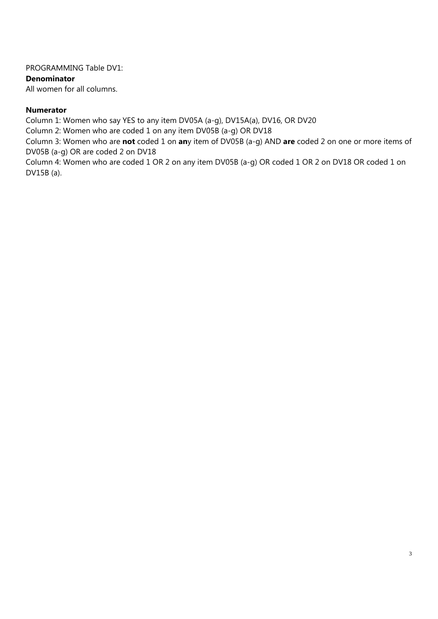PROGRAMMING Table DV1:

### **Denominator**

All women for all columns.

## **Numerator**

Column 1: Women who say YES to any item DV05A (a-g), DV15A(a), DV16, OR DV20

Column 2: Women who are coded 1 on any item DV05B (a-g) OR DV18

Column 3: Women who are **not** coded 1 on **an**y item of DV05B (a-g) AND **are** coded 2 on one or more items of DV05B (a-g) OR are coded 2 on DV18

Column 4: Women who are coded 1 OR 2 on any item DV05B (a-g) OR coded 1 OR 2 on DV18 OR coded 1 on DV15B (a).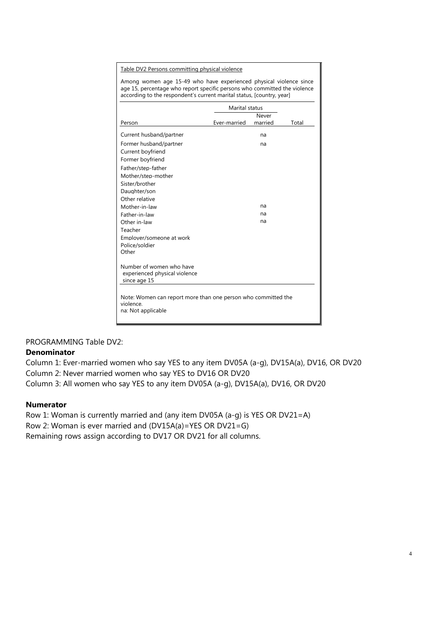Table DV2 Persons committing physical violence

Among women age 15-49 who have experienced physical violence since age 15, percentage who report specific persons who committed the violence according to the respondent's current marital status, [country, year]

|                                                                                                  | Marital status |                  |       |  |  |
|--------------------------------------------------------------------------------------------------|----------------|------------------|-------|--|--|
|                                                                                                  | Ever-married   | Never<br>married | Total |  |  |
| Person                                                                                           |                |                  |       |  |  |
| Current husband/partner                                                                          |                | na               |       |  |  |
| Former husband/partner                                                                           |                | na               |       |  |  |
| Current boyfriend                                                                                |                |                  |       |  |  |
| Former boyfriend                                                                                 |                |                  |       |  |  |
| Father/sten-father                                                                               |                |                  |       |  |  |
| Mother/step-mother                                                                               |                |                  |       |  |  |
| Sister/brother                                                                                   |                |                  |       |  |  |
| Daughter/son                                                                                     |                |                  |       |  |  |
| Other relative                                                                                   |                |                  |       |  |  |
| Mother-in-law                                                                                    |                | na               |       |  |  |
| Father-in-law                                                                                    |                | na               |       |  |  |
| Other in-law                                                                                     |                | na               |       |  |  |
| Teacher                                                                                          |                |                  |       |  |  |
| Employer/someone at work                                                                         |                |                  |       |  |  |
| Police/soldier                                                                                   |                |                  |       |  |  |
| Other                                                                                            |                |                  |       |  |  |
| Number of women who have<br>experienced physical violence<br>since age 15                        |                |                  |       |  |  |
| Note: Women can report more than one person who committed the<br>violence.<br>na: Not applicable |                |                  |       |  |  |

PROGRAMMING Table DV2:

## **Denominator**

Column 1: Ever-married women who say YES to any item DV05A (a-g), DV15A(a), DV16, OR DV20 Column 2: Never married women who say YES to DV16 OR DV20

Column 3: All women who say YES to any item DV05A (a-g), DV15A(a), DV16, OR DV20

## **Numerator**

Row 1: Woman is currently married and (any item DV05A (a-g) is YES OR DV21=A) Row 2: Woman is ever married and (DV15A(a)=YES OR DV21=G) Remaining rows assign according to DV17 OR DV21 for all columns.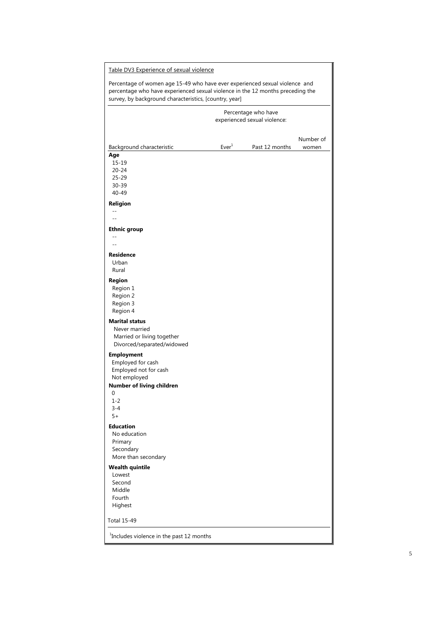| Table DV3 Experience of sexual violence                                                                                                                                                                                 |                   |                                                     |                    |  |  |  |
|-------------------------------------------------------------------------------------------------------------------------------------------------------------------------------------------------------------------------|-------------------|-----------------------------------------------------|--------------------|--|--|--|
| Percentage of women age 15-49 who have ever experienced sexual violence and<br>percentage who have experienced sexual violence in the 12 months preceding the<br>survey, by background characteristics, [country, year] |                   |                                                     |                    |  |  |  |
|                                                                                                                                                                                                                         |                   | Percentage who have<br>experienced sexual violence: |                    |  |  |  |
| Background characteristic                                                                                                                                                                                               | Ever <sup>1</sup> | Past 12 months                                      | Number of<br>women |  |  |  |
| Age<br>15-19<br>$20 - 24$<br>$25 - 29$<br>30-39<br>40-49                                                                                                                                                                |                   |                                                     |                    |  |  |  |
| <b>Religion</b><br>$=$                                                                                                                                                                                                  |                   |                                                     |                    |  |  |  |
| <b>Ethnic group</b>                                                                                                                                                                                                     |                   |                                                     |                    |  |  |  |
| <b>Residence</b><br>Urban<br>Rural                                                                                                                                                                                      |                   |                                                     |                    |  |  |  |
| <b>Region</b><br>Region 1<br>Region 2<br>Region 3<br>Region 4                                                                                                                                                           |                   |                                                     |                    |  |  |  |
| <b>Marital status</b><br>Never married<br>Married or living together<br>Divorced/separated/widowed                                                                                                                      |                   |                                                     |                    |  |  |  |
| <b>Employment</b><br>Employed for cash<br>Employed not for cash<br>Not employed                                                                                                                                         |                   |                                                     |                    |  |  |  |
| Number of living children<br>0<br>$1 - 2$<br>$3 - 4$<br>$5+$                                                                                                                                                            |                   |                                                     |                    |  |  |  |
| <b>Education</b><br>No education<br>Primary<br>Secondary<br>More than secondary                                                                                                                                         |                   |                                                     |                    |  |  |  |
| <b>Wealth quintile</b><br>Lowest<br>Second<br>Middle<br>Fourth<br>Highest                                                                                                                                               |                   |                                                     |                    |  |  |  |
| <b>Total 15-49</b>                                                                                                                                                                                                      |                   |                                                     |                    |  |  |  |
| <sup>1</sup> Includes violence in the past 12 months                                                                                                                                                                    |                   |                                                     |                    |  |  |  |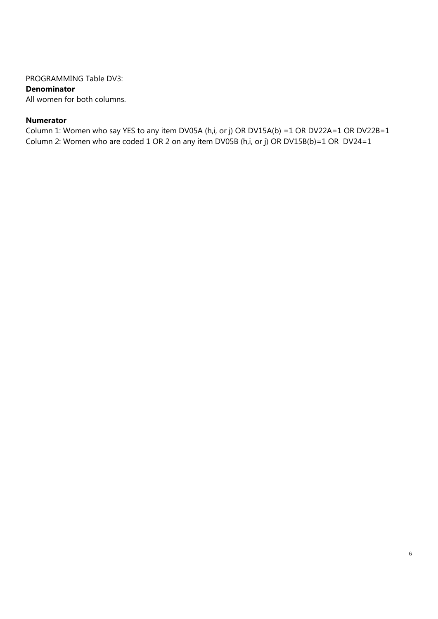#### PROGRAMMING Table DV3:

### **Denominator**

All women for both columns.

## **Numerator**

Column 1: Women who say YES to any item DV05A (h,i, or j) OR DV15A(b) =1 OR DV22A=1 OR DV22B=1 Column 2: Women who are coded 1 OR 2 on any item DV05B (h,i, or j) OR DV15B(b)=1 OR DV24=1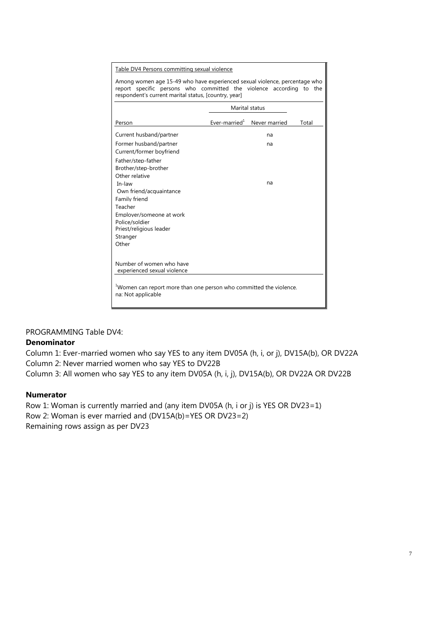Table DV4 Persons committing sexual violence

Among women age 15-49 who have experienced sexual violence, percentage who report specific persons who committed the violence according to the respondent's current marital status, [country, year]

|                                                                                                      |                         | Marital status |       |
|------------------------------------------------------------------------------------------------------|-------------------------|----------------|-------|
| Person                                                                                               | Ever-married $^{\perp}$ | Never married  | Total |
| Current husband/partner                                                                              |                         | na             |       |
| Former husband/partner<br>Current/former boyfriend                                                   |                         | na             |       |
| Father/step-father<br>Brother/step-brother                                                           |                         |                |       |
| Other relative<br>In-law<br>Own friend/acquaintance                                                  |                         | na             |       |
| Family friend<br>Teacher<br>Emplover/someone at work<br>Police/soldier<br>Priest/religious leader    |                         |                |       |
| Stranger<br>Other                                                                                    |                         |                |       |
| Number of women who have<br>experienced sexual violence                                              |                         |                |       |
| <sup>1</sup> Women can report more than one person who committed the violence.<br>na: Not applicable |                         |                |       |

PROGRAMMING Table DV4:

## **Denominator**

Column 1: Ever-married women who say YES to any item DV05A (h, i, or j), DV15A(b), OR DV22A

Column 2: Never married women who say YES to DV22B

Column 3: All women who say YES to any item DV05A (h, i, j), DV15A(b), OR DV22A OR DV22B

## **Numerator**

Row 1: Woman is currently married and (any item DV05A (h, i or j) is YES OR DV23=1) Row 2: Woman is ever married and (DV15A(b)=YES OR DV23=2) Remaining rows assign as per DV23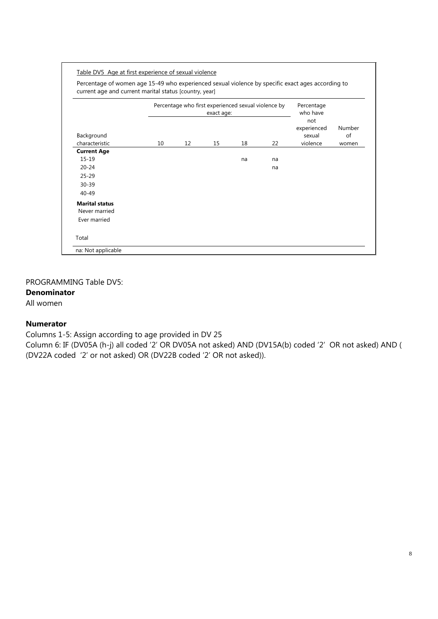|                                        |    |    | exact age: | Percentage who first experienced sexual violence by |    | Percentage<br>who have       |              |
|----------------------------------------|----|----|------------|-----------------------------------------------------|----|------------------------------|--------------|
| Background<br>characteristic           | 10 |    |            | 18                                                  | 22 | not<br>experienced<br>sexual | Number<br>of |
| <b>Current Age</b>                     |    | 12 | 15         |                                                     |    | violence                     | women        |
| $15 - 19$                              |    |    |            | na                                                  | na |                              |              |
| $20 - 24$                              |    |    |            |                                                     | na |                              |              |
| $25 - 29$                              |    |    |            |                                                     |    |                              |              |
| $30 - 39$                              |    |    |            |                                                     |    |                              |              |
| $40 - 49$                              |    |    |            |                                                     |    |                              |              |
| <b>Marital status</b><br>Never married |    |    |            |                                                     |    |                              |              |

## PROGRAMMING Table DV5:

**Denominator** 

All women

## **Numerator**

Columns 1-5: Assign according to age provided in DV 25

Column 6: IF (DV05A (h-j) all coded '2' OR DV05A not asked) AND (DV15A(b) coded '2' OR not asked) AND ( (DV22A coded '2' or not asked) OR (DV22B coded '2' OR not asked)).

8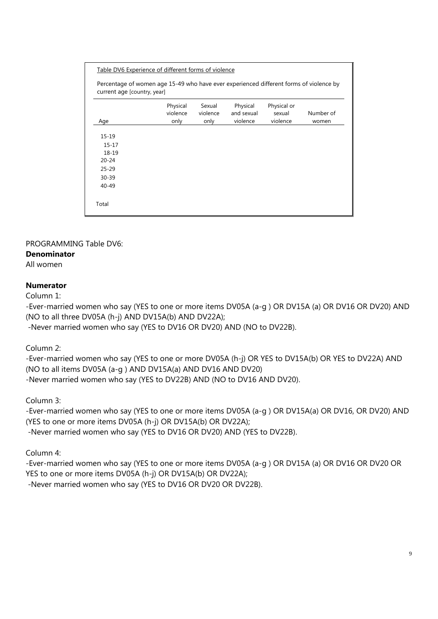| current age [country, year] |                              |                            |                                    | Percentage of women age 15-49 who have ever experienced different forms of violence by |                    |
|-----------------------------|------------------------------|----------------------------|------------------------------------|----------------------------------------------------------------------------------------|--------------------|
| Age                         | Physical<br>violence<br>only | Sexual<br>violence<br>only | Physical<br>and sexual<br>violence | Physical or<br>sexual<br>violence                                                      | Number of<br>women |
|                             |                              |                            |                                    |                                                                                        |                    |
| $15 - 19$                   |                              |                            |                                    |                                                                                        |                    |
| $15 - 17$                   |                              |                            |                                    |                                                                                        |                    |
| 18-19                       |                              |                            |                                    |                                                                                        |                    |
| $20 - 24$                   |                              |                            |                                    |                                                                                        |                    |
| $25 - 29$                   |                              |                            |                                    |                                                                                        |                    |
| $30 - 39$                   |                              |                            |                                    |                                                                                        |                    |
| $40 - 49$                   |                              |                            |                                    |                                                                                        |                    |

## PROGRAMMING Table DV6:

## **Denominator**

All women

## **Numerator**

Column 1:

-Ever-married women who say (YES to one or more items DV05A (a-g ) OR DV15A (a) OR DV16 OR DV20) AND (NO to all three DV05A (h-j) AND DV15A(b) AND DV22A);

-Never married women who say (YES to DV16 OR DV20) AND (NO to DV22B).

Column 2:

-Ever-married women who say (YES to one or more DV05A (h-j) OR YES to DV15A(b) OR YES to DV22A) AND (NO to all items DV05A (a-g ) AND DV15A(a) AND DV16 AND DV20) -Never married women who say (YES to DV22B) AND (NO to DV16 AND DV20).

Column 3:

-Ever-married women who say (YES to one or more items DV05A (a-g ) OR DV15A(a) OR DV16, OR DV20) AND (YES to one or more items DV05A (h-j) OR DV15A(b) OR DV22A); -Never married women who say (YES to DV16 OR DV20) AND (YES to DV22B).

Column 4:

-Ever-married women who say (YES to one or more items DV05A (a-g ) OR DV15A (a) OR DV16 OR DV20 OR YES to one or more items DV05A (h-j) OR DV15A(b) OR DV22A);

-Never married women who say (YES to DV16 OR DV20 OR DV22B).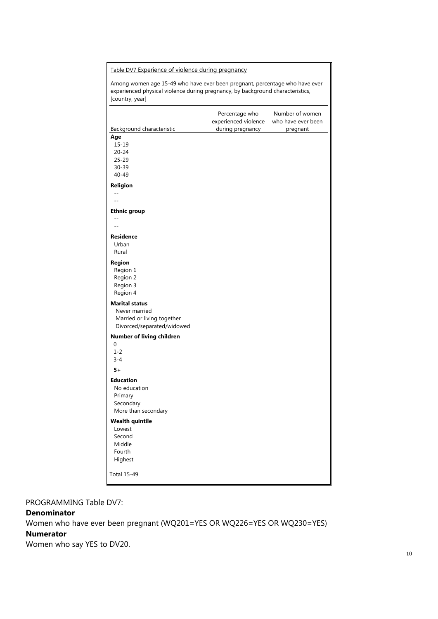| Table DV7 Experience of violence during pregnancy |  |  |  |
|---------------------------------------------------|--|--|--|
|                                                   |  |  |  |

Among women age 15-49 who have ever been pregnant, percentage who have ever experienced physical violence during pregnancy, by background characteristics, [country, year]

| Background characteristic                                                                          | Percentage who<br>experienced violence<br>during pregnancy | Number of women<br>who have ever been<br>pregnant |
|----------------------------------------------------------------------------------------------------|------------------------------------------------------------|---------------------------------------------------|
| Age<br>$15 - 19$<br>$20 - 24$<br>$25 - 29$<br>$30 - 39$<br>40-49                                   |                                                            |                                                   |
| Religion<br>$-$<br>$\sim$ $\sim$                                                                   |                                                            |                                                   |
| <b>Ethnic group</b><br>$\sim$                                                                      |                                                            |                                                   |
| <b>Residence</b><br>Urban<br>Rural                                                                 |                                                            |                                                   |
| Region<br>Region 1<br>Region 2<br>Region 3<br>Region 4                                             |                                                            |                                                   |
| <b>Marital status</b><br>Never married<br>Married or living together<br>Divorced/separated/widowed |                                                            |                                                   |
| Number of living children<br>0<br>$1 - 2$<br>$3 - 4$                                               |                                                            |                                                   |
| $5+$                                                                                               |                                                            |                                                   |
| <b>Education</b><br>No education<br>Primary<br>Secondary<br>More than secondary                    |                                                            |                                                   |
| <b>Wealth quintile</b><br>Lowest<br>Second<br>Middle<br>Fourth<br>Highest                          |                                                            |                                                   |
| <b>Total 15-49</b>                                                                                 |                                                            |                                                   |

PROGRAMMING Table DV7:

## **Denominator**

Women who have ever been pregnant (WQ201=YES OR WQ226=YES OR WQ230=YES) **Numerator** Women who say YES to DV20.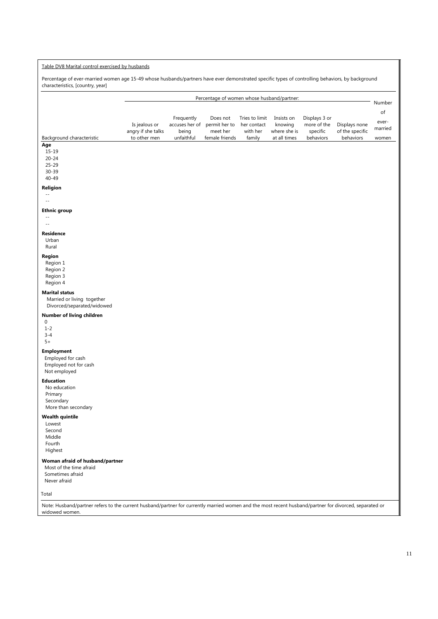#### Table DV8 Marital control exercised by husbands

Percentage of ever-married women age 15-49 whose husbands/partners have ever demonstrated specific types of controlling behaviors, by background characteristics, [country, year]

|                                                                                                                                                                          |                                                     |                                                     |                                                         |                                                     |                                                       | Percentage of women whose husband/partner:            |                                               |                                           |  |  |  |
|--------------------------------------------------------------------------------------------------------------------------------------------------------------------------|-----------------------------------------------------|-----------------------------------------------------|---------------------------------------------------------|-----------------------------------------------------|-------------------------------------------------------|-------------------------------------------------------|-----------------------------------------------|-------------------------------------------|--|--|--|
| Background characteristic                                                                                                                                                | Is jealous or<br>angry if she talks<br>to other men | Frequently<br>accuses her of<br>being<br>unfaithful | Does not<br>permit her to<br>meet her<br>female friends | Tries to limit<br>her contact<br>with her<br>family | Insists on<br>knowing<br>where she is<br>at all times | Displays 3 or<br>more of the<br>specific<br>behaviors | Displays none<br>of the specific<br>behaviors | Number<br>οf<br>ever-<br>married<br>women |  |  |  |
| Age<br>$15 - 19$<br>$20 - 24$<br>$25 - 29$<br>$30 - 39$<br>$40 - 49$                                                                                                     |                                                     |                                                     |                                                         |                                                     |                                                       |                                                       |                                               |                                           |  |  |  |
| Religion<br>$\sim$ $-$                                                                                                                                                   |                                                     |                                                     |                                                         |                                                     |                                                       |                                                       |                                               |                                           |  |  |  |
| $\sim$ $-$                                                                                                                                                               |                                                     |                                                     |                                                         |                                                     |                                                       |                                                       |                                               |                                           |  |  |  |
| <b>Ethnic group</b><br>$-$<br>÷.<br><b>Residence</b><br>Urban                                                                                                            |                                                     |                                                     |                                                         |                                                     |                                                       |                                                       |                                               |                                           |  |  |  |
| Rural                                                                                                                                                                    |                                                     |                                                     |                                                         |                                                     |                                                       |                                                       |                                               |                                           |  |  |  |
| Region<br>Region 1<br>Region 2<br>Region 3<br>Region 4                                                                                                                   |                                                     |                                                     |                                                         |                                                     |                                                       |                                                       |                                               |                                           |  |  |  |
| <b>Marital status</b><br>Married or living together<br>Divorced/separated/widowed                                                                                        |                                                     |                                                     |                                                         |                                                     |                                                       |                                                       |                                               |                                           |  |  |  |
| Number of living children<br>0<br>$1 - 2$<br>$3 - 4$<br>$5+$                                                                                                             |                                                     |                                                     |                                                         |                                                     |                                                       |                                                       |                                               |                                           |  |  |  |
| <b>Employment</b><br>Employed for cash<br>Employed not for cash<br>Not employed                                                                                          |                                                     |                                                     |                                                         |                                                     |                                                       |                                                       |                                               |                                           |  |  |  |
| <b>Education</b><br>No education<br>Primary<br>Secondary<br>More than secondary                                                                                          |                                                     |                                                     |                                                         |                                                     |                                                       |                                                       |                                               |                                           |  |  |  |
| <b>Wealth quintile</b><br>Lowest<br>Second<br>Middle<br>Fourth<br>Highest                                                                                                |                                                     |                                                     |                                                         |                                                     |                                                       |                                                       |                                               |                                           |  |  |  |
| Woman afraid of husband/partner<br>Most of the time afraid<br>Sometimes afraid<br>Never afraid                                                                           |                                                     |                                                     |                                                         |                                                     |                                                       |                                                       |                                               |                                           |  |  |  |
| Total                                                                                                                                                                    |                                                     |                                                     |                                                         |                                                     |                                                       |                                                       |                                               |                                           |  |  |  |
| Note: Husband/partner refers to the current husband/partner for currently married women and the most recent husband/partner for divorced, separated or<br>widowed women. |                                                     |                                                     |                                                         |                                                     |                                                       |                                                       |                                               |                                           |  |  |  |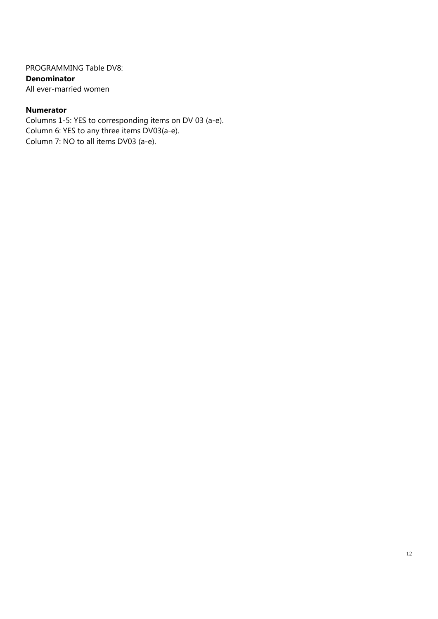PROGRAMMING Table DV8: **Denominator** All ever-married women

## **Numerator**

Columns 1-5: YES to corresponding items on DV 03 (a-e). Column 6: YES to any three items DV03(a-e). Column 7: NO to all items DV03 (a-e).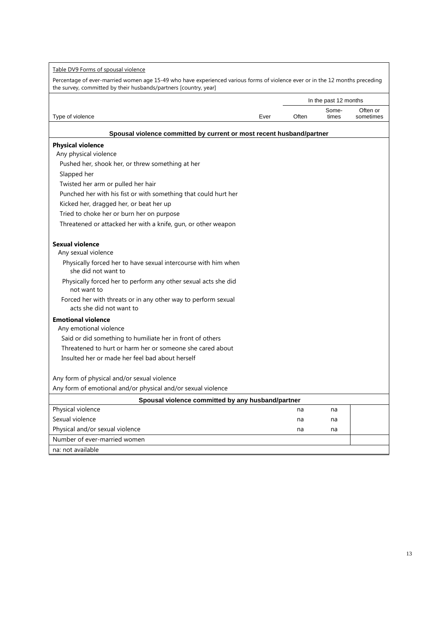| Table DV9 Forms of spousal violence                                                                                                                                                              |      |       |                       |                       |
|--------------------------------------------------------------------------------------------------------------------------------------------------------------------------------------------------|------|-------|-----------------------|-----------------------|
| Percentage of ever-married women age 15-49 who have experienced various forms of violence ever or in the 12 months preceding<br>the survey, committed by their husbands/partners [country, year] |      |       |                       |                       |
|                                                                                                                                                                                                  |      |       | In the past 12 months |                       |
| Type of violence                                                                                                                                                                                 | Ever | Often | Some-<br>times        | Often or<br>sometimes |
| Spousal violence committed by current or most recent husband/partner                                                                                                                             |      |       |                       |                       |
| <b>Physical violence</b>                                                                                                                                                                         |      |       |                       |                       |
| Any physical violence                                                                                                                                                                            |      |       |                       |                       |
| Pushed her, shook her, or threw something at her                                                                                                                                                 |      |       |                       |                       |
| Slapped her                                                                                                                                                                                      |      |       |                       |                       |
| Twisted her arm or pulled her hair                                                                                                                                                               |      |       |                       |                       |
| Punched her with his fist or with something that could hurt her                                                                                                                                  |      |       |                       |                       |
| Kicked her, dragged her, or beat her up                                                                                                                                                          |      |       |                       |                       |
| Tried to choke her or burn her on purpose                                                                                                                                                        |      |       |                       |                       |
| Threatened or attacked her with a knife, gun, or other weapon                                                                                                                                    |      |       |                       |                       |
| <b>Sexual violence</b>                                                                                                                                                                           |      |       |                       |                       |
| Any sexual violence                                                                                                                                                                              |      |       |                       |                       |
| Physically forced her to have sexual intercourse with him when<br>she did not want to                                                                                                            |      |       |                       |                       |
| Physically forced her to perform any other sexual acts she did<br>not want to                                                                                                                    |      |       |                       |                       |
| Forced her with threats or in any other way to perform sexual<br>acts she did not want to                                                                                                        |      |       |                       |                       |
| <b>Emotional violence</b>                                                                                                                                                                        |      |       |                       |                       |
| Any emotional violence                                                                                                                                                                           |      |       |                       |                       |
| Said or did something to humiliate her in front of others                                                                                                                                        |      |       |                       |                       |
| Threatened to hurt or harm her or someone she cared about                                                                                                                                        |      |       |                       |                       |
| Insulted her or made her feel bad about herself                                                                                                                                                  |      |       |                       |                       |
| Any form of physical and/or sexual violence                                                                                                                                                      |      |       |                       |                       |
| Any form of emotional and/or physical and/or sexual violence                                                                                                                                     |      |       |                       |                       |
| Spousal violence committed by any husband/partner                                                                                                                                                |      |       |                       |                       |
| Physical violence                                                                                                                                                                                |      | na    | na                    |                       |
| Sexual violence                                                                                                                                                                                  |      | na    | na                    |                       |
| Physical and/or sexual violence                                                                                                                                                                  |      | na    | na                    |                       |
| Number of ever-married women                                                                                                                                                                     |      |       |                       |                       |
| na: not available                                                                                                                                                                                |      |       |                       |                       |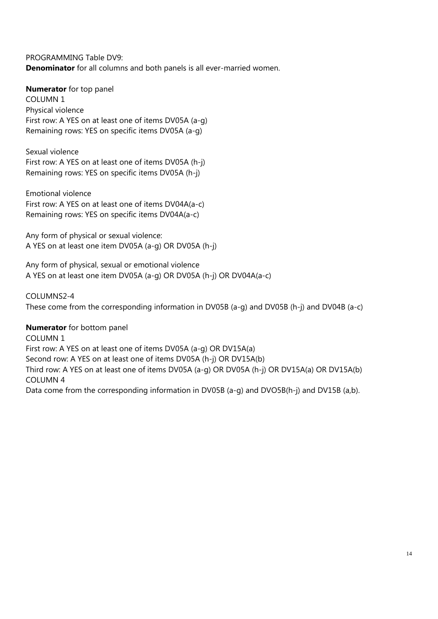PROGRAMMING Table DV9:

**Denominator** for all columns and both panels is all ever-married women.

**Numerator** for top panel

COLUMN 1 Physical violence First row: A YES on at least one of items DV05A (a-g) Remaining rows: YES on specific items DV05A (a-g)

Sexual violence First row: A YES on at least one of items DV05A (h-j) Remaining rows: YES on specific items DV05A (h-j)

Emotional violence First row: A YES on at least one of items DV04A(a-c) Remaining rows: YES on specific items DV04A(a-c)

Any form of physical or sexual violence: A YES on at least one item DV05A (a-g) OR DV05A (h-j)

Any form of physical, sexual or emotional violence A YES on at least one item DV05A (a-g) OR DV05A (h-j) OR DV04A(a-c)

COLUMNS2-4

These come from the corresponding information in DV05B (a-g) and DV05B (h-j) and DV04B (a-c)

## **Numerator** for bottom panel

COLUMN 1 First row: A YES on at least one of items DV05A (a-g) OR DV15A(a) Second row: A YES on at least one of items DV05A (h-j) OR DV15A(b) Third row: A YES on at least one of items DV05A (a-g) OR DV05A (h-j) OR DV15A(a) OR DV15A(b) COLUMN 4

Data come from the corresponding information in DV05B (a-g) and DVO5B(h-j) and DV15B (a,b).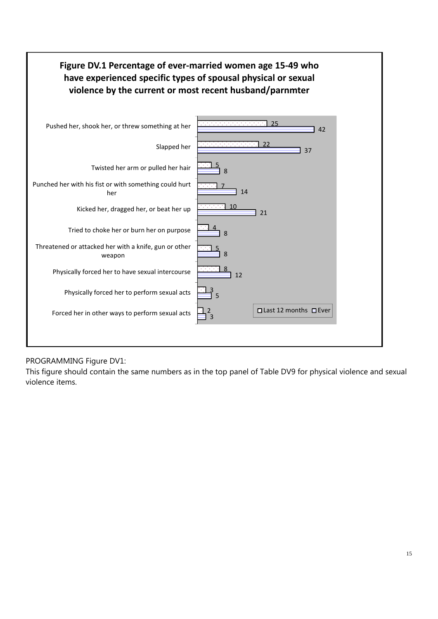

## PROGRAMMING Figure DV1:

This figure should contain the same numbers as in the top panel of Table DV9 for physical violence and sexual violence items.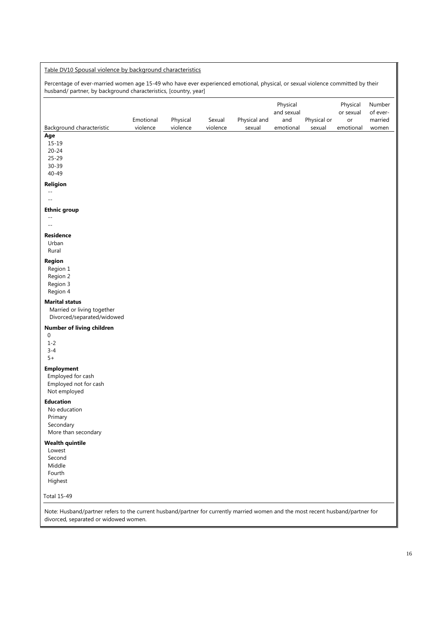#### Table DV10 Spousal violence by background characteristics

Percentage of ever-married women age 15-49 who have ever experienced emotional, physical, or sexual violence committed by their husband/ partner, by background characteristics, [country, year]

|                                                                                       | Emotional | Physical | Sexual   | Physical and | Physical<br>and sexual<br>and | Physical or | Physical<br>or sexual<br>or | Number<br>of ever-<br>married |
|---------------------------------------------------------------------------------------|-----------|----------|----------|--------------|-------------------------------|-------------|-----------------------------|-------------------------------|
| Background characteristic<br>Age<br>$15 - 19$<br>$20 - 24$<br>25-29<br>30-39<br>40-49 | violence  | violence | violence | sexual       | emotional                     | sexual      | emotional                   | women                         |
| Religion<br>$-$                                                                       |           |          |          |              |                               |             |                             |                               |
| $-$                                                                                   |           |          |          |              |                               |             |                             |                               |
| <b>Ethnic group</b>                                                                   |           |          |          |              |                               |             |                             |                               |
| $\overline{a}$                                                                        |           |          |          |              |                               |             |                             |                               |
| Residence<br>Urban<br>Rural                                                           |           |          |          |              |                               |             |                             |                               |
| Region<br>Region 1<br>Region 2<br>Region 3<br>Region 4                                |           |          |          |              |                               |             |                             |                               |
| <b>Marital status</b><br>Married or living together<br>Divorced/separated/widowed     |           |          |          |              |                               |             |                             |                               |
| Number of living children<br>0<br>$1 - 2$<br>$3 - 4$<br>$5+$                          |           |          |          |              |                               |             |                             |                               |
| <b>Employment</b><br>Employed for cash<br>Employed not for cash<br>Not employed       |           |          |          |              |                               |             |                             |                               |
| <b>Education</b><br>No education<br>Primary<br>Secondary<br>More than secondary       |           |          |          |              |                               |             |                             |                               |
| <b>Wealth quintile</b><br>Lowest<br>Second<br>Middle<br>Fourth<br>Highest             |           |          |          |              |                               |             |                             |                               |
| <b>Total 15-49</b>                                                                    |           |          |          |              |                               |             |                             |                               |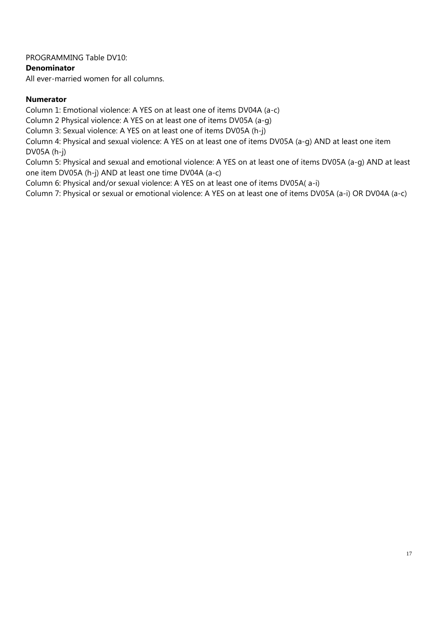PROGRAMMING Table DV10:

## **Denominator**

All ever-married women for all columns.

## **Numerator**

Column 1: Emotional violence: A YES on at least one of items DV04A (a-c)

Column 2 Physical violence: A YES on at least one of items DV05A (a-g)

Column 3: Sexual violence: A YES on at least one of items DV05A (h-j)

Column 4: Physical and sexual violence: A YES on at least one of items DV05A (a-g) AND at least one item DV05A (h-j)

Column 5: Physical and sexual and emotional violence: A YES on at least one of items DV05A (a-g) AND at least one item DV05A (h-j) AND at least one time DV04A (a-c)

Column 6: Physical and/or sexual violence: A YES on at least one of items DV05A( a-i)

Column 7: Physical or sexual or emotional violence: A YES on at least one of items DV05A (a-i) OR DV04A (a-c)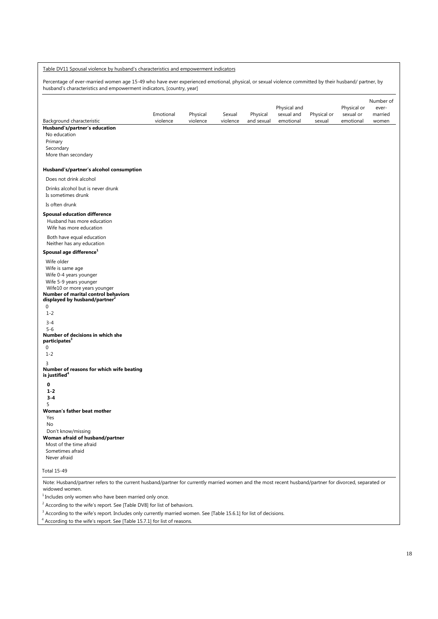| Table DV11 Spousal violence by husband's characteristics and empowerment indicators                                                                                                                                                           |           |          |          |            |                            |             |                          |                               |
|-----------------------------------------------------------------------------------------------------------------------------------------------------------------------------------------------------------------------------------------------|-----------|----------|----------|------------|----------------------------|-------------|--------------------------|-------------------------------|
| Percentage of ever-married women age 15-49 who have ever experienced emotional, physical, or sexual violence committed by their husband/ partner, by<br>husband's characteristics and empowerment indicators, [country, year]                 |           |          |          |            |                            |             |                          |                               |
|                                                                                                                                                                                                                                               | Emotional | Physical | Sexual   | Physical   | Physical and<br>sexual and | Physical or | Physical or<br>sexual or | Number of<br>ever-<br>married |
| Background characteristic                                                                                                                                                                                                                     | violence  | violence | violence | and sexual | emotional                  | sexual      | emotional                | women                         |
| Husband's/partner's education<br>No education<br>Primary<br>Secondary<br>More than secondary                                                                                                                                                  |           |          |          |            |                            |             |                          |                               |
| Husband's/partner's alcohol consumption                                                                                                                                                                                                       |           |          |          |            |                            |             |                          |                               |
| Does not drink alcohol                                                                                                                                                                                                                        |           |          |          |            |                            |             |                          |                               |
| Drinks alcohol but is never drunk<br>Is sometimes drunk                                                                                                                                                                                       |           |          |          |            |                            |             |                          |                               |
| Is often drunk                                                                                                                                                                                                                                |           |          |          |            |                            |             |                          |                               |
| <b>Spousal education difference</b><br>Husband has more education<br>Wife has more education                                                                                                                                                  |           |          |          |            |                            |             |                          |                               |
| Both have equal education<br>Neither has any education                                                                                                                                                                                        |           |          |          |            |                            |             |                          |                               |
| Spousal age difference <sup>1</sup>                                                                                                                                                                                                           |           |          |          |            |                            |             |                          |                               |
| Wife older<br>Wife is same age<br>Wife 0-4 years younger<br>Wife 5-9 years younger<br>Wife10 or more years younger<br>Number of marital control behaviors<br>displayed by husband/partner <sup>2</sup><br>$\mathbf 0$                         |           |          |          |            |                            |             |                          |                               |
| $1 - 2$                                                                                                                                                                                                                                       |           |          |          |            |                            |             |                          |                               |
| $3 - 4$<br>$5 - 6$<br>Number of decisions in which she<br>participates <sup>3</sup><br>$\mathbf 0$<br>$1 - 2$                                                                                                                                 |           |          |          |            |                            |             |                          |                               |
| 3<br>Number of reasons for which wife beating<br>is justified <sup>4</sup>                                                                                                                                                                    |           |          |          |            |                            |             |                          |                               |
| 0<br>$1-2$<br>$3 - 4$                                                                                                                                                                                                                         |           |          |          |            |                            |             |                          |                               |
| 5<br>Woman's father beat mother<br>Yes<br>No<br>Don't know/missing<br>Woman afraid of husband/partner<br>Most of the time afraid<br>Sometimes afraid<br>Never afraid                                                                          |           |          |          |            |                            |             |                          |                               |
| Total 15-49                                                                                                                                                                                                                                   |           |          |          |            |                            |             |                          |                               |
| Note: Husband/partner refers to the current husband/partner for currently married women and the most recent husband/partner for divorced, separated or<br>widowed women.<br><sup>1</sup> Includes only women who have been married only once. |           |          |          |            |                            |             |                          |                               |
| <sup>2</sup> According to the wife's report. See [Table DV8] for list of behaviors.                                                                                                                                                           |           |          |          |            |                            |             |                          |                               |
| <sup>3</sup> According to the wife's report. Includes only currently married women. See [Table 15.6.1] for list of decisions.                                                                                                                 |           |          |          |            |                            |             |                          |                               |

<sup>4</sup> According to the wife's report. See [Table 15.7.1] for list of reasons.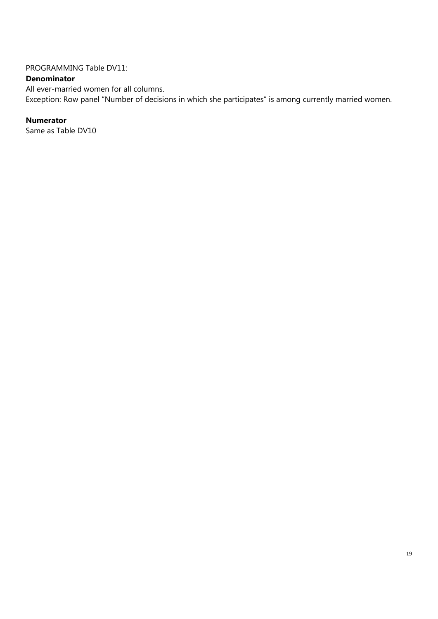## PROGRAMMING Table DV11:

## **Denominator**

All ever-married women for all columns. Exception: Row panel "Number of decisions in which she participates" is among currently married women.

#### **Numerator**

Same as Table DV10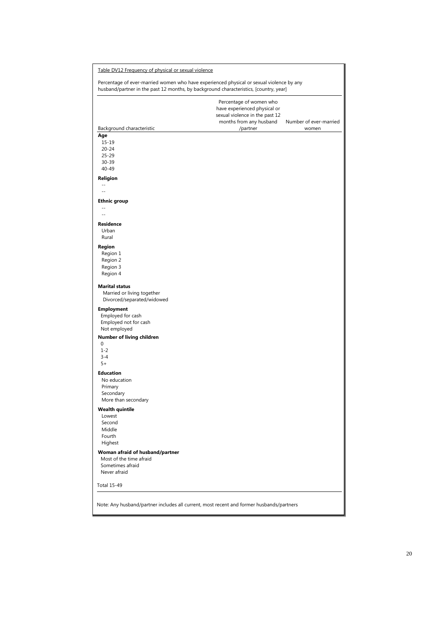Table DV12 Frequency of physical or sexual violence Percentage of ever-married women who have experienced physical or sexual violence by any husband/partner in the past 12 months, by background characteristics, [country, year] Background characteristic Percentage of women who have experienced physical or sexual violence in the past 12 months from any husband /partner Number of ever-married women **Age** 15-19 20-24 25-29 30-39 40-49 **Religion**  -- -- **Ethnic group**  -- -- **Residence** Urban Rural **Region**  Region 1 Region 2 Region 3 Region 4 **Marital status**  Married or living together Divorced/separated/widowed **Employment**  Employed for cash Employed not for cash Not employed **Number of living children**   $\Omega$  1-2 3-4 5+ **Education** No education Primary Secondary More than secondary **Wealth quintile** Lowest Second Middle Fourth Highest **Woman afraid of husband/partner** Most of the time afraid Sometimes afraid Never afraid Total 15-49 Note: Any husband/partner includes all current, most recent and former husbands/partners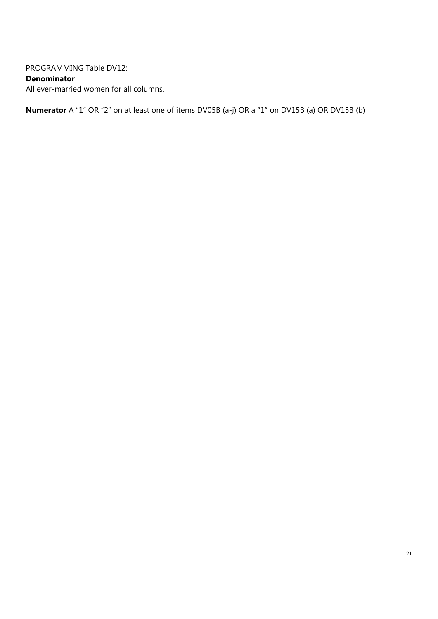PROGRAMMING Table DV12: **Denominator**  All ever-married women for all columns.

**Numerator** A "1" OR "2" on at least one of items DV05B (a-j) OR a "1" on DV15B (a) OR DV15B (b)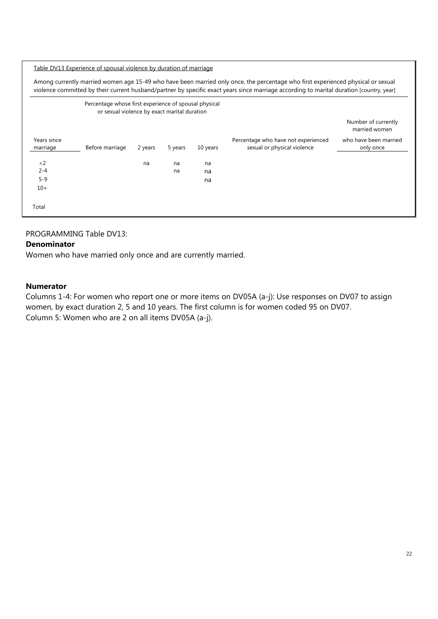|                         | Table DV13 Experience of spousal violence by duration of marriage                                                                                                                                                                                                            |         |          |          |                                                                    |                                      |  |  |  |
|-------------------------|------------------------------------------------------------------------------------------------------------------------------------------------------------------------------------------------------------------------------------------------------------------------------|---------|----------|----------|--------------------------------------------------------------------|--------------------------------------|--|--|--|
|                         | Among currently married women age 15-49 who have been married only once, the percentage who first experienced physical or sexual<br>violence committed by their current husband/partner by specific exact years since marriage according to marital duration [country, year] |         |          |          |                                                                    |                                      |  |  |  |
|                         | Percentage whose first experience of spousal physical<br>or sexual violence by exact marital duration                                                                                                                                                                        |         |          |          |                                                                    |                                      |  |  |  |
|                         |                                                                                                                                                                                                                                                                              |         |          |          |                                                                    | Number of currently<br>married women |  |  |  |
| Years since<br>marriage | Before marriage                                                                                                                                                                                                                                                              | 2 years | 5 years  | 10 years | Percentage who have not experienced<br>sexual or physical violence | who have been married<br>only once   |  |  |  |
| $\langle$ 2<br>$2 - 4$  |                                                                                                                                                                                                                                                                              | na      | na<br>na | na<br>na |                                                                    |                                      |  |  |  |
| $5 - 9$<br>$10+$        |                                                                                                                                                                                                                                                                              |         |          | na       |                                                                    |                                      |  |  |  |
| Total                   |                                                                                                                                                                                                                                                                              |         |          |          |                                                                    |                                      |  |  |  |

## PROGRAMMING Table DV13:

#### **Denominator**

Women who have married only once and are currently married.

### **Numerator**

Columns 1-4: For women who report one or more items on DV05A (a-j): Use responses on DV07 to assign women, by exact duration 2, 5 and 10 years. The first column is for women coded 95 on DV07. Column 5: Women who are 2 on all items DV05A (a-j).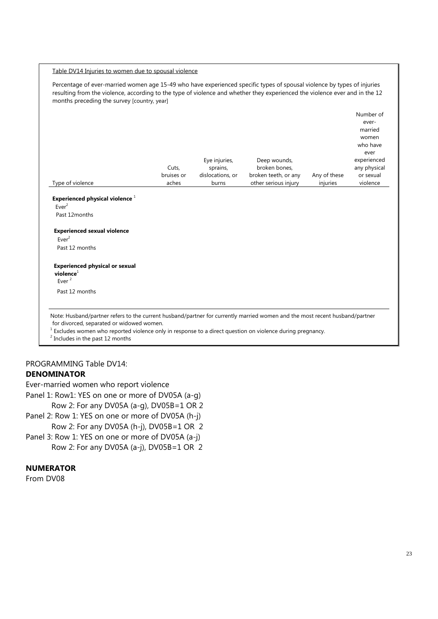#### Table DV14 Injuries to women due to spousal violence

Percentage of ever-married women age 15-49 who have experienced specific types of spousal violence by types of injuries resulting from the violence, according to the type of violence and whether they experienced the violence ever and in the 12 months preceding the survey [country, year]

|                                                              | Cuts,      | Eye injuries,<br>sprains, | Deep wounds,<br>broken bones, |              | Number of<br>ever-<br>married<br>women<br>who have<br>ever<br>experienced<br>any physical |
|--------------------------------------------------------------|------------|---------------------------|-------------------------------|--------------|-------------------------------------------------------------------------------------------|
|                                                              | bruises or | dislocations, or          | broken teeth, or any          | Any of these | or sexual                                                                                 |
| Type of violence                                             | aches      | burns                     | other serious injury          | injuries     | violence                                                                                  |
|                                                              |            |                           |                               |              |                                                                                           |
| Experienced physical violence 1<br>$Ever^2$<br>Past 12months |            |                           |                               |              |                                                                                           |
| <b>Experienced sexual violence</b>                           |            |                           |                               |              |                                                                                           |
| $Ever^2$                                                     |            |                           |                               |              |                                                                                           |

**violence**<sup>1</sup>

Ever<sup>2</sup>

Past 12 months

 Note: Husband/partner refers to the current husband/partner for currently married women and the most recent husband/partner for divorced, separated or widowed women.

 $<sup>1</sup>$  Excludes women who reported violence only in response to a direct question on violence during pregnancy.</sup>

 $2$  Includes in the past 12 months

## PROGRAMMING Table DV14:

## **DENOMINATOR**

Ever-married women who report violence Panel 1: Row1: YES on one or more of DV05A (a-g) Row 2: For any DV05A (a-g), DV05B=1 OR 2 Panel 2: Row 1: YES on one or more of DV05A (h-j) Row 2: For any DV05A (h-j), DV05B=1 OR 2 Panel 3: Row 1: YES on one or more of DV05A (a-j) Row 2: For any DV05A (a-j), DV05B=1 OR 2

#### **NUMERATOR**

From DV08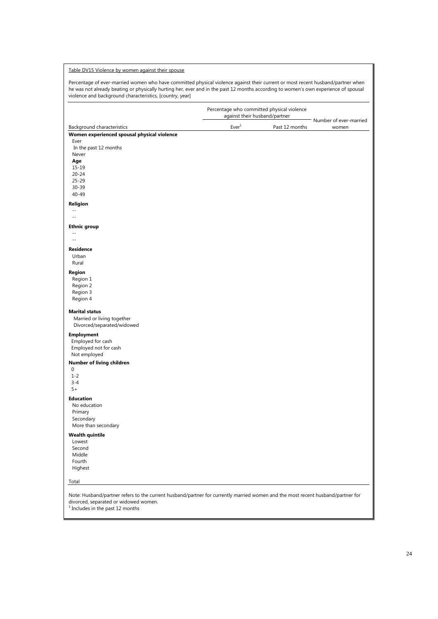#### Table DV15 Violence by women against their spouse Percentage of ever-married women who have committed physical violence against their current or most recent husband/partner when he was not already beating or physically hurting her, ever and in the past 12 months according to women's own experience of spousal violence and background characteristics, [country, year] Background characteristics Percentage who committed physical violence<br>against their husband/partner Frame in the musulative matrice  $Ever^1$  Past 12 months women  $Ever<sup>1</sup>$  Past 12 months women **Women experienced spousal physical violence**  Ever In the past 12 months Never **Age**  15-19 20-24 25-29 30-39 40-49 **Religion**  -- -- **Ethnic group**  -- -- **Residence** Urban Rural **Region**  Region 1 Region 2 Region 3 Region 4 **Marital status**  Married or living together Divorced/separated/widowed **Employment**  Employed for cash Employed not for cash Not employed **Number of living children**  0 1-2 3-4  $5+$ **Education** No education Primary **Secondary**  More than secondary **Wealth quintile** Lowest Second Middle Fourth Highest Total Note: Husband/partner refers to the current husband/partner for currently married women and the most recent husband/partner for divorced, separated or widowed women. 1 Includes in the past 12 months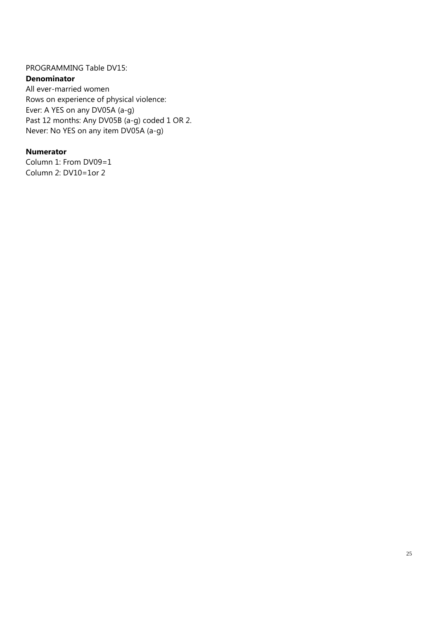## PROGRAMMING Table DV15:

#### **Denominator**

All ever-married women Rows on experience of physical violence: Ever: A YES on any DV05A (a-g) Past 12 months: Any DV05B (a-g) coded 1 OR 2. Never: No YES on any item DV05A (a-g)

## **Numerator**

Column 1: From DV09=1 Column 2: DV10=1or 2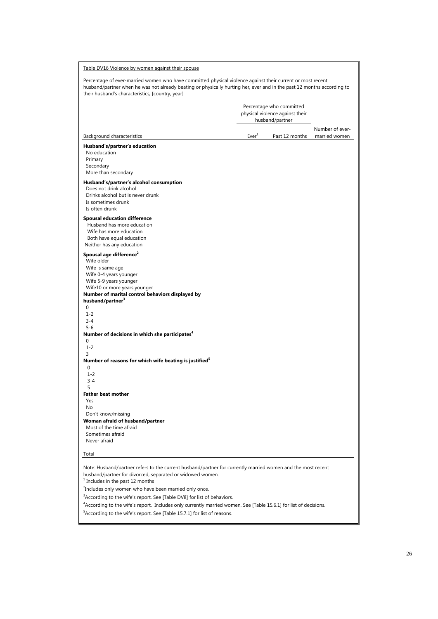Table DV16 Violence by women against their spouse Percentage of ever-married women who have committed physical violence against their current or most recent husband/partner when he was not already beating or physically hurting her, ever and in the past 12 months according to their husband's characteristics, [country, year] Background characteristics Percentage who committed physical violence against their husband/partner Number of ever-Ever $1$  Past 12 months married women Past 12 months **Husband's/partner's education**  No education Primary Secondary More than secondary **Husband's/partner's alcohol consumption** Does not drink alcohol Drinks alcohol but is never drunk Is sometimes drunk Is often drunk **Spousal education difference**  .<br>Husband has more education Wife has more education Both have equal education Neither has any education **Spousal age difference<sup>2</sup>** Wife older Wife is same age Wife 0-4 years younger Wife 5-9 years younger Wife10 or more years younger **Number of marital control behaviors displayed by husband/partner3**  $\Omega$  1-2 3-4 5-6 **Number of decisions in which she participates4** 0 1-2 3 **Number of reasons for which wife beating is justified<sup>5</sup>** 0 1-2 3-4 5 **Father beat mother** Yes No Don't know/missing **Woman afraid of husband/partner**  Most of the time afraid Sometimes afraid Never afraid Total Note: Husband/partner refers to the current husband/partner for currently married women and the most recent husband/partner for divorced, separated or widowed women. <sup>1</sup> Includes in the past 12 months <sup>2</sup>Includes only women who have been married only once. <sup>3</sup> According to the wife's report. See [Table DV8] for list of behaviors.

4 According to the wife's report. Includes only currently married women. See [Table 15.6.1] for list of decisions.

<sup>5</sup> According to the wife's report. See [Table 15.7.1] for list of reasons.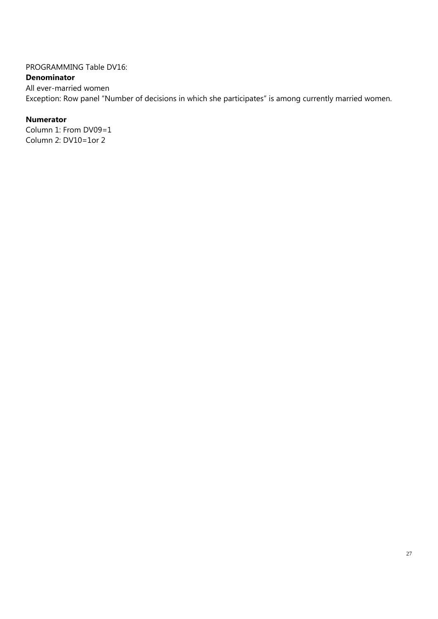### PROGRAMMING Table DV16:

## **Denominator**

All ever-married women Exception: Row panel "Number of decisions in which she participates" is among currently married women.

## **Numerator**

Column 1: From DV09=1 Column 2: DV10=1or 2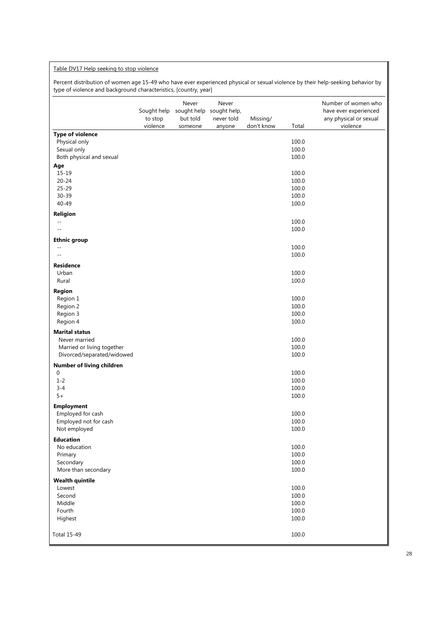#### Table DV17 Help seeking to stop violence

Percent distribution of women age 15-49 who have ever experienced physical or sexual violence by their help-seeking behavior by type of violence and background characteristics, [country, year]

|                            | Sought help<br>to stop | Never<br>sought help<br>but told | Never<br>sought help,<br>never told | Missing/   |       | Number of women who<br>have ever experienced<br>any physical or sexual |
|----------------------------|------------------------|----------------------------------|-------------------------------------|------------|-------|------------------------------------------------------------------------|
|                            | violence               | someone                          | anyone                              | don't know | Total | violence                                                               |
| <b>Type of violence</b>    |                        |                                  |                                     |            |       |                                                                        |
| Physical only              |                        |                                  |                                     |            | 100.0 |                                                                        |
| Sexual only                |                        |                                  |                                     |            | 100.0 |                                                                        |
| Both physical and sexual   |                        |                                  |                                     |            | 100.0 |                                                                        |
| Age                        |                        |                                  |                                     |            |       |                                                                        |
| 15-19                      |                        |                                  |                                     |            | 100.0 |                                                                        |
| $20 - 24$                  |                        |                                  |                                     |            | 100.0 |                                                                        |
| 25-29                      |                        |                                  |                                     |            | 100.0 |                                                                        |
| 30-39                      |                        |                                  |                                     |            | 100.0 |                                                                        |
| 40-49                      |                        |                                  |                                     |            | 100.0 |                                                                        |
| Religion                   |                        |                                  |                                     |            |       |                                                                        |
| $-$                        |                        |                                  |                                     |            | 100.0 |                                                                        |
| ٠.                         |                        |                                  |                                     |            | 100.0 |                                                                        |
| <b>Ethnic group</b>        |                        |                                  |                                     |            |       |                                                                        |
|                            |                        |                                  |                                     |            | 100.0 |                                                                        |
|                            |                        |                                  |                                     |            | 100.0 |                                                                        |
| <b>Residence</b>           |                        |                                  |                                     |            |       |                                                                        |
| Urban                      |                        |                                  |                                     |            | 100.0 |                                                                        |
| Rural                      |                        |                                  |                                     |            | 100.0 |                                                                        |
|                            |                        |                                  |                                     |            |       |                                                                        |
| Region                     |                        |                                  |                                     |            |       |                                                                        |
| Region 1                   |                        |                                  |                                     |            | 100.0 |                                                                        |
| Region 2                   |                        |                                  |                                     |            | 100.0 |                                                                        |
| Region 3                   |                        |                                  |                                     |            | 100.0 |                                                                        |
| Region 4                   |                        |                                  |                                     |            | 100.0 |                                                                        |
| <b>Marital status</b>      |                        |                                  |                                     |            |       |                                                                        |
| Never married              |                        |                                  |                                     |            | 100.0 |                                                                        |
| Married or living together |                        |                                  |                                     |            | 100.0 |                                                                        |
| Divorced/separated/widowed |                        |                                  |                                     |            | 100.0 |                                                                        |
| Number of living children  |                        |                                  |                                     |            |       |                                                                        |
| 0                          |                        |                                  |                                     |            | 100.0 |                                                                        |
| $1 - 2$                    |                        |                                  |                                     |            | 100.0 |                                                                        |
| $3 - 4$                    |                        |                                  |                                     |            | 100.0 |                                                                        |
| $5+$                       |                        |                                  |                                     |            | 100.0 |                                                                        |
| <b>Employment</b>          |                        |                                  |                                     |            |       |                                                                        |
| Employed for cash          |                        |                                  |                                     |            | 100.0 |                                                                        |
| Employed not for cash      |                        |                                  |                                     |            | 100.0 |                                                                        |
| Not employed               |                        |                                  |                                     |            | 100.0 |                                                                        |
| <b>Education</b>           |                        |                                  |                                     |            |       |                                                                        |
| No education               |                        |                                  |                                     |            | 100.0 |                                                                        |
| Primary                    |                        |                                  |                                     |            | 100.0 |                                                                        |
| Secondary                  |                        |                                  |                                     |            | 100.0 |                                                                        |
| More than secondary        |                        |                                  |                                     |            | 100.0 |                                                                        |
| <b>Wealth quintile</b>     |                        |                                  |                                     |            |       |                                                                        |
| Lowest                     |                        |                                  |                                     |            | 100.0 |                                                                        |
| Second                     |                        |                                  |                                     |            | 100.0 |                                                                        |
| Middle                     |                        |                                  |                                     |            | 100.0 |                                                                        |
| Fourth                     |                        |                                  |                                     |            | 100.0 |                                                                        |
| Highest                    |                        |                                  |                                     |            | 100.0 |                                                                        |
|                            |                        |                                  |                                     |            |       |                                                                        |
| <b>Total 15-49</b>         |                        |                                  |                                     |            | 100.0 |                                                                        |
|                            |                        |                                  |                                     |            |       |                                                                        |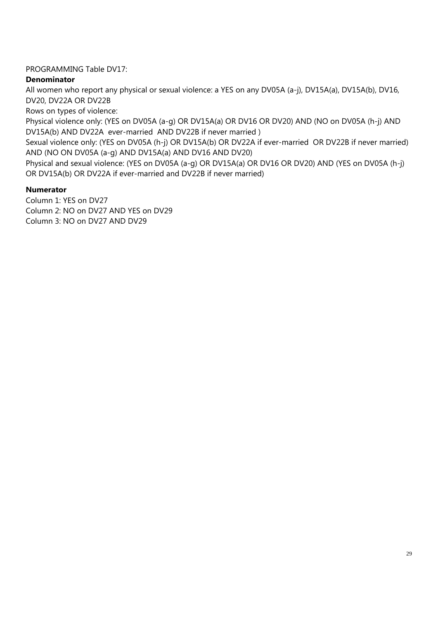## PROGRAMMING Table DV17:

## **Denominator**

All women who report any physical or sexual violence: a YES on any DV05A (a-j), DV15A(a), DV15A(b), DV16, DV20, DV22A OR DV22B

Rows on types of violence:

Physical violence only: (YES on DV05A (a-g) OR DV15A(a) OR DV16 OR DV20) AND (NO on DV05A (h-j) AND DV15A(b) AND DV22A ever-married AND DV22B if never married )

Sexual violence only: (YES on DV05A (h-j) OR DV15A(b) OR DV22A if ever-married OR DV22B if never married) AND (NO ON DV05A (a-g) AND DV15A(a) AND DV16 AND DV20)

Physical and sexual violence: (YES on DV05A (a-g) OR DV15A(a) OR DV16 OR DV20) AND (YES on DV05A (h-j) OR DV15A(b) OR DV22A if ever-married and DV22B if never married)

## **Numerator**

Column 1: YES on DV27 Column 2: NO on DV27 AND YES on DV29 Column 3: NO on DV27 AND DV29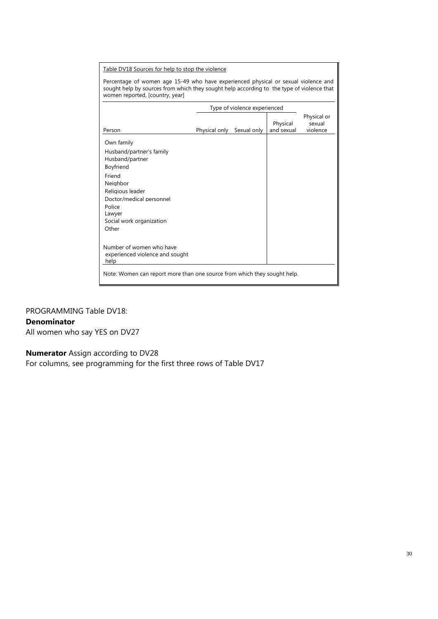Table DV18 Sources for help to stop the violence

Percentage of women age 15-49 who have experienced physical or sexual violence and sought help by sources from which they sought help according to the type of violence that women reported, [country, year]

|                                                                          | Type of violence experienced |             |                        |                                   |  |
|--------------------------------------------------------------------------|------------------------------|-------------|------------------------|-----------------------------------|--|
| Person                                                                   | Physical only                | Sexual only | Physical<br>and sexual | Physical or<br>sexual<br>violence |  |
| Own family<br>Husband/partner's family                                   |                              |             |                        |                                   |  |
| Husband/partner<br>Boyfriend                                             |                              |             |                        |                                   |  |
| Friend<br>Neighbor                                                       |                              |             |                        |                                   |  |
| Religious leader<br>Doctor/medical personnel                             |                              |             |                        |                                   |  |
| Police<br>Lawyer                                                         |                              |             |                        |                                   |  |
| Social work organization<br>Other                                        |                              |             |                        |                                   |  |
| Number of women who have<br>experienced violence and sought<br>help      |                              |             |                        |                                   |  |
| Note: Women can report more than one source from which they sought help. |                              |             |                        |                                   |  |

## PROGRAMMING Table DV18:

## **Denominator**

All women who say YES on DV27

## **Numerator** Assign according to DV28

For columns, see programming for the first three rows of Table DV17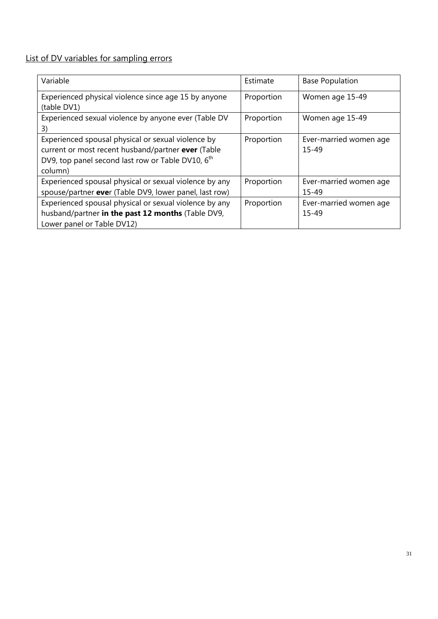## List of DV variables for sampling errors

| Variable                                                                                                                                                                             | Estimate   | <b>Base Population</b>          |
|--------------------------------------------------------------------------------------------------------------------------------------------------------------------------------------|------------|---------------------------------|
| Experienced physical violence since age 15 by anyone<br>(table DV1)                                                                                                                  | Proportion | Women age 15-49                 |
| Experienced sexual violence by anyone ever (Table DV<br>3)                                                                                                                           | Proportion | Women age 15-49                 |
| Experienced spousal physical or sexual violence by<br>current or most recent husband/partner ever (Table<br>DV9, top panel second last row or Table DV10, 6 <sup>th</sup><br>column) | Proportion | Ever-married women age<br>15-49 |
| Experienced spousal physical or sexual violence by any<br>spouse/partner ever (Table DV9, lower panel, last row)                                                                     | Proportion | Ever-married women age<br>15-49 |
| Experienced spousal physical or sexual violence by any<br>husband/partner in the past 12 months (Table DV9,<br>Lower panel or Table DV12)                                            | Proportion | Ever-married women age<br>15-49 |